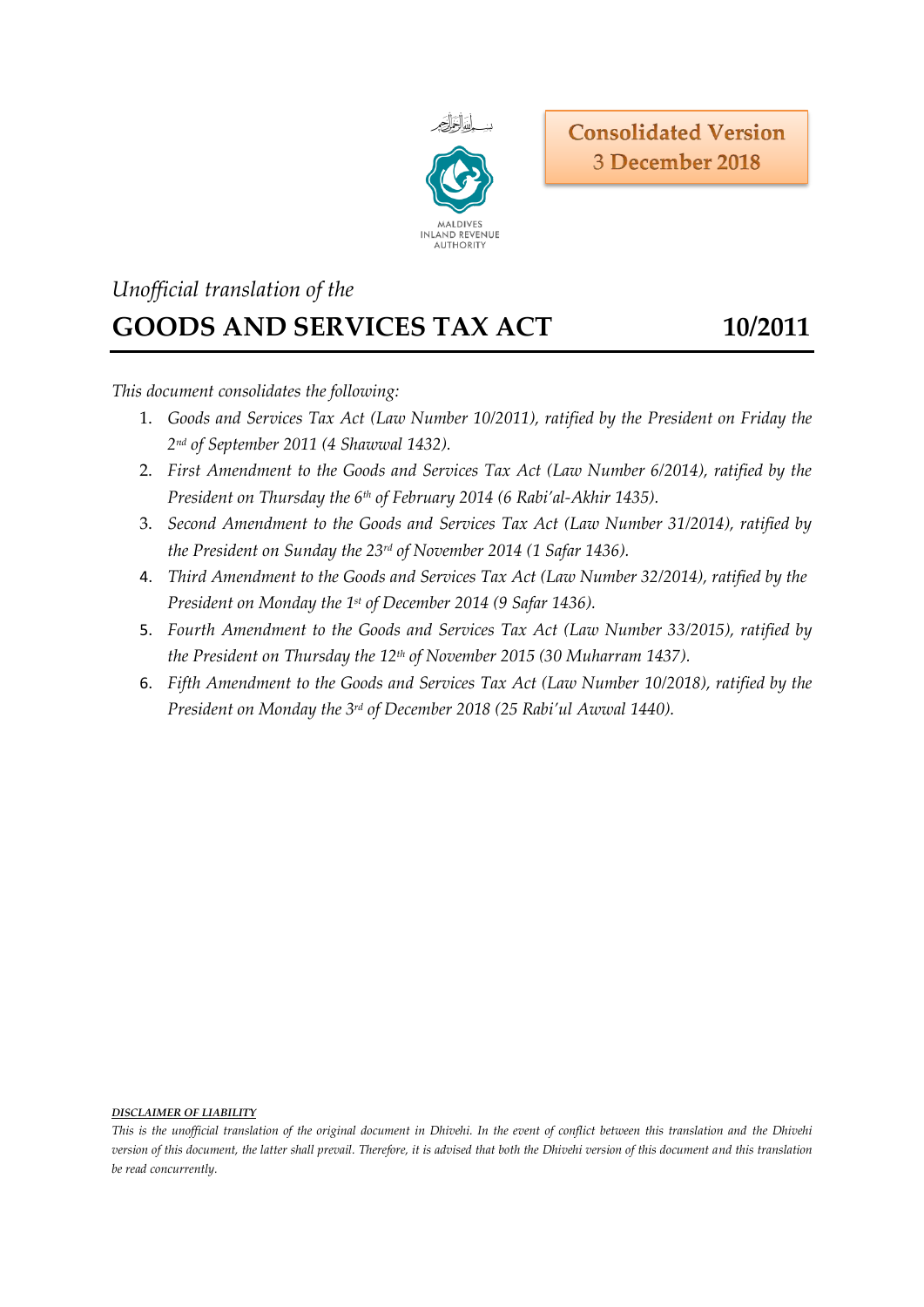

# *Unofficial translation of the* **GOODS AND SERVICES TAX ACT 10/2011**

*This document consolidates the following:*

- 1. *Goods and Services Tax Act (Law Number 10/2011), ratified by the President on Friday the 2 nd of September 2011 (4 Shawwal 1432).*
- 2. *First Amendment to the Goods and Services Tax Act (Law Number 6/2014), ratified by the President on Thursday the 6th of February 2014 (6 Rabi'al-Akhir 1435).*
- 3. *Second Amendment to the Goods and Services Tax Act (Law Number 31/2014), ratified by the President on Sunday the 23rd of November 2014 (1 Safar 1436).*
- 4. *Third Amendment to the Goods and Services Tax Act (Law Number 32/2014), ratified by the President on Monday the 1st of December 2014 (9 Safar 1436).*
- 5. *Fourth Amendment to the Goods and Services Tax Act (Law Number 33/2015), ratified by the President on Thursday the 12th of November 2015 (30 Muharram 1437).*
- 6. *Fifth Amendment to the Goods and Services Tax Act (Law Number 10/2018), ratified by the President on Monday the 3 rd of December 2018 (25 Rabi'ul Awwal 1440).*

#### *DISCLAIMER OF LIABILITY*

*This is the unofficial translation of the original document in Dhivehi. In the event of conflict between this translation and the Dhivehi version of this document, the latter shall prevail. Therefore, it is advised that both the Dhivehi version of this document and this translation be read concurrently.*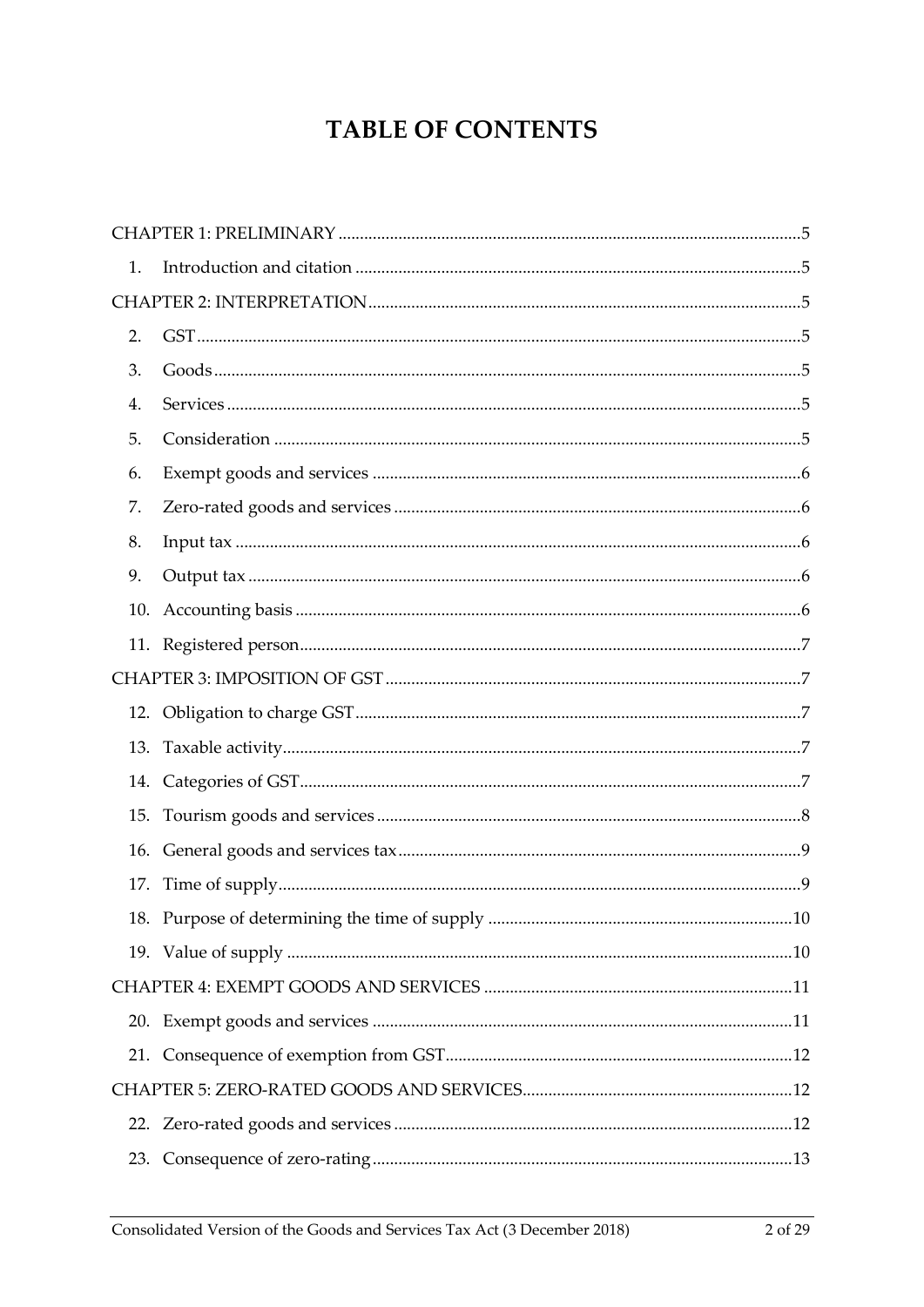# **TABLE OF CONTENTS**

| 1.  |  |  |  |  |
|-----|--|--|--|--|
|     |  |  |  |  |
| 2.  |  |  |  |  |
| 3.  |  |  |  |  |
| 4.  |  |  |  |  |
| 5.  |  |  |  |  |
| 6.  |  |  |  |  |
| 7.  |  |  |  |  |
| 8.  |  |  |  |  |
| 9.  |  |  |  |  |
| 10. |  |  |  |  |
|     |  |  |  |  |
|     |  |  |  |  |
|     |  |  |  |  |
| 13. |  |  |  |  |
|     |  |  |  |  |
| 15. |  |  |  |  |
|     |  |  |  |  |
|     |  |  |  |  |
|     |  |  |  |  |
|     |  |  |  |  |
|     |  |  |  |  |
|     |  |  |  |  |
|     |  |  |  |  |
|     |  |  |  |  |
|     |  |  |  |  |
|     |  |  |  |  |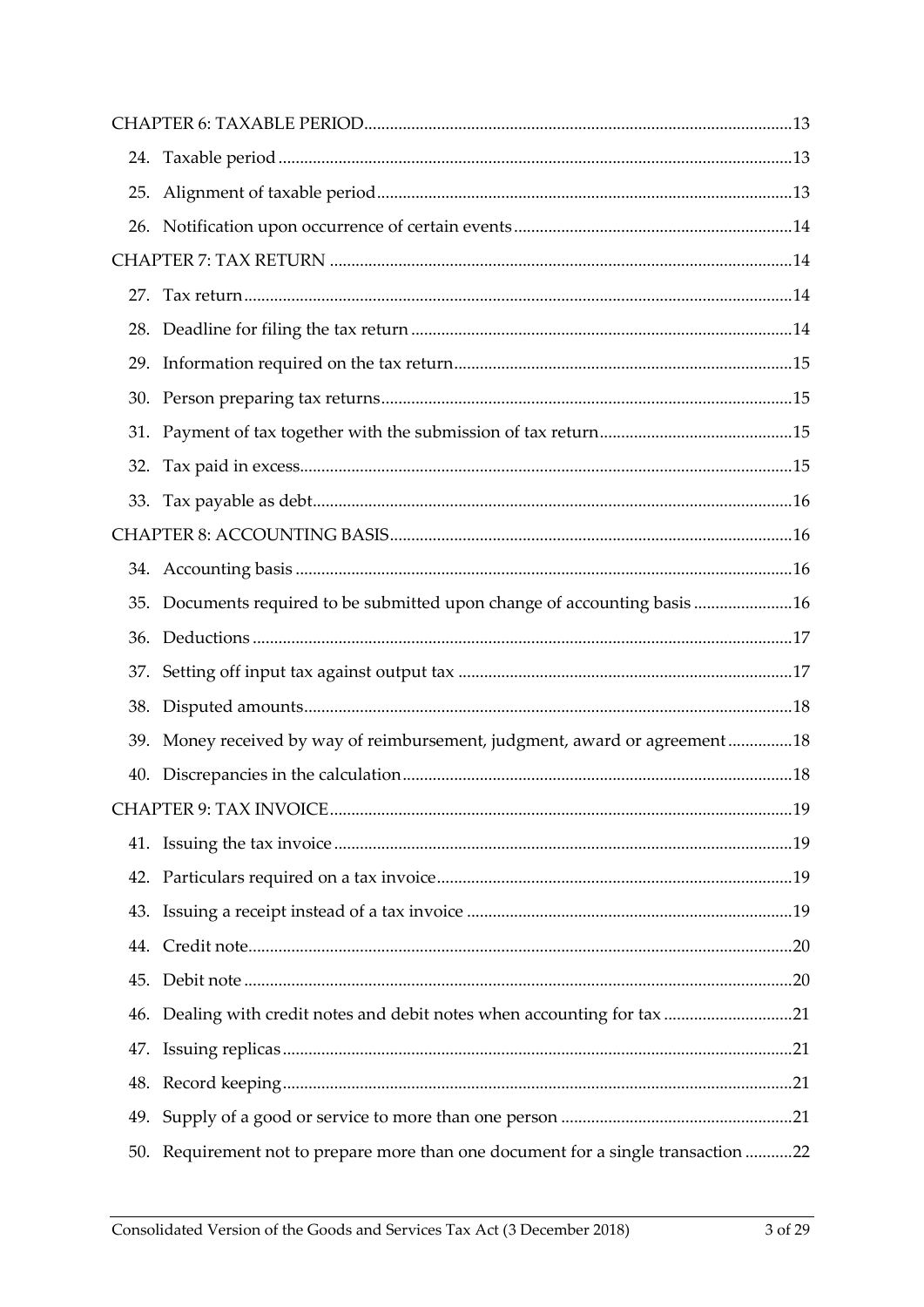|     | 35. Documents required to be submitted upon change of accounting basis16      |  |  |
|-----|-------------------------------------------------------------------------------|--|--|
|     |                                                                               |  |  |
|     |                                                                               |  |  |
| 38. |                                                                               |  |  |
|     | 39. Money received by way of reimbursement, judgment, award or agreement18    |  |  |
|     |                                                                               |  |  |
|     |                                                                               |  |  |
|     |                                                                               |  |  |
|     |                                                                               |  |  |
|     |                                                                               |  |  |
|     |                                                                               |  |  |
|     |                                                                               |  |  |
|     | 46. Dealing with credit notes and debit notes when accounting for tax 21      |  |  |
|     |                                                                               |  |  |
|     |                                                                               |  |  |
|     |                                                                               |  |  |
| 50. | Requirement not to prepare more than one document for a single transaction 22 |  |  |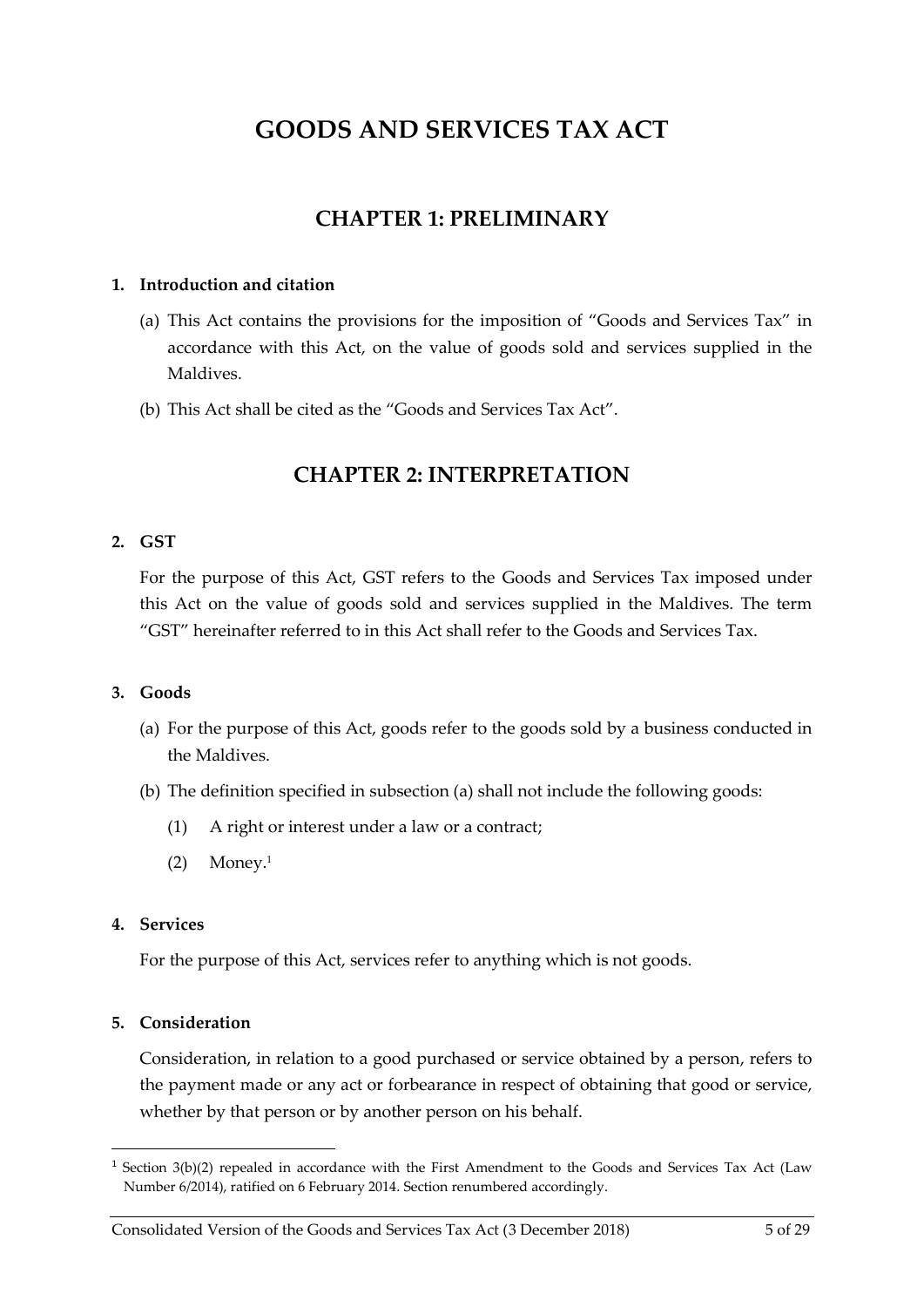# **GOODS AND SERVICES TAX ACT**

### **CHAPTER 1: PRELIMINARY**

#### <span id="page-4-1"></span><span id="page-4-0"></span>**1. Introduction and citation**

- (a) This Act contains the provisions for the imposition of "Goods and Services Tax" in accordance with this Act, on the value of goods sold and services supplied in the Maldives.
- <span id="page-4-2"></span>(b) This Act shall be cited as the "Goods and Services Tax Act".

### **CHAPTER 2: INTERPRETATION**

#### <span id="page-4-3"></span>**2. GST**

For the purpose of this Act, GST refers to the Goods and Services Tax imposed under this Act on the value of goods sold and services supplied in the Maldives. The term "GST" hereinafter referred to in this Act shall refer to the Goods and Services Tax.

#### <span id="page-4-4"></span>**3. Goods**

- <span id="page-4-7"></span>(a) For the purpose of this Act, goods refer to the goods sold by a business conducted in the Maldives.
- (b) The definition specified in subsection [\(a\)](#page-4-7) shall not include the following goods:
	- (1) A right or interest under a law or a contract;
	- $(2)$  Money.<sup>1</sup>

#### <span id="page-4-5"></span>**4. Services**

 $\overline{a}$ 

For the purpose of this Act, services refer to anything which is not goods.

#### <span id="page-4-6"></span>**5. Consideration**

Consideration, in relation to a good purchased or service obtained by a person, refers to the payment made or any act or forbearance in respect of obtaining that good or service, whether by that person or by another person on his behalf.

<sup>&</sup>lt;sup>1</sup> Section 3(b)(2) repealed in accordance with the First Amendment to the Goods and Services Tax Act (Law Number 6/2014), ratified on 6 February 2014. Section renumbered accordingly.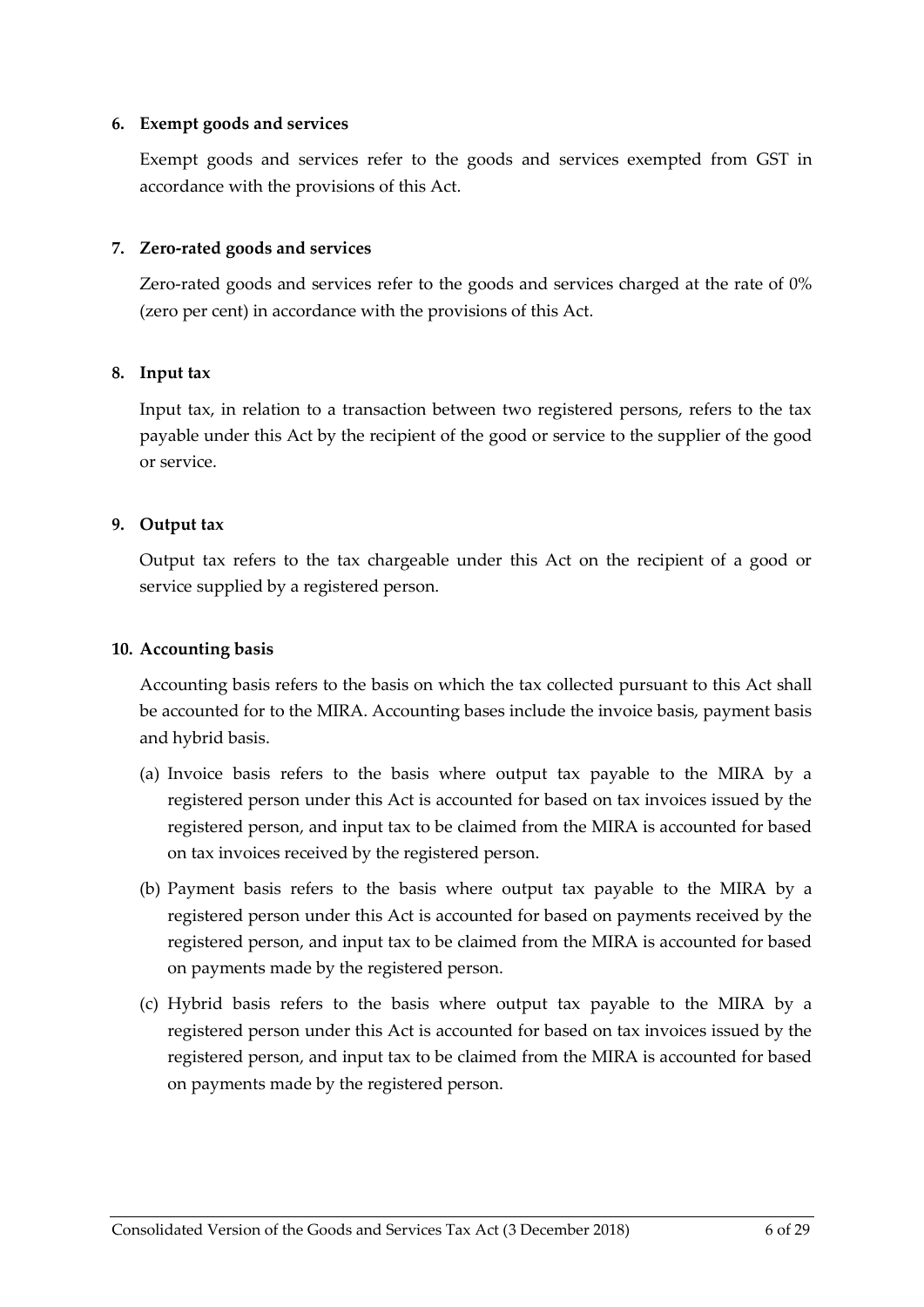#### <span id="page-5-0"></span>**6. Exempt goods and services**

Exempt goods and services refer to the goods and services exempted from GST in accordance with the provisions of this Act.

#### <span id="page-5-1"></span>**7. Zero-rated goods and services**

Zero-rated goods and services refer to the goods and services charged at the rate of 0% (zero per cent) in accordance with the provisions of this Act.

#### <span id="page-5-2"></span>**8. Input tax**

Input tax, in relation to a transaction between two registered persons, refers to the tax payable under this Act by the recipient of the good or service to the supplier of the good or service.

#### <span id="page-5-3"></span>**9. Output tax**

Output tax refers to the tax chargeable under this Act on the recipient of a good or service supplied by a registered person.

#### <span id="page-5-4"></span>**10. Accounting basis**

Accounting basis refers to the basis on which the tax collected pursuant to this Act shall be accounted for to the MIRA. Accounting bases include the invoice basis, payment basis and hybrid basis.

- (a) Invoice basis refers to the basis where output tax payable to the MIRA by a registered person under this Act is accounted for based on tax invoices issued by the registered person, and input tax to be claimed from the MIRA is accounted for based on tax invoices received by the registered person.
- (b) Payment basis refers to the basis where output tax payable to the MIRA by a registered person under this Act is accounted for based on payments received by the registered person, and input tax to be claimed from the MIRA is accounted for based on payments made by the registered person.
- (c) Hybrid basis refers to the basis where output tax payable to the MIRA by a registered person under this Act is accounted for based on tax invoices issued by the registered person, and input tax to be claimed from the MIRA is accounted for based on payments made by the registered person.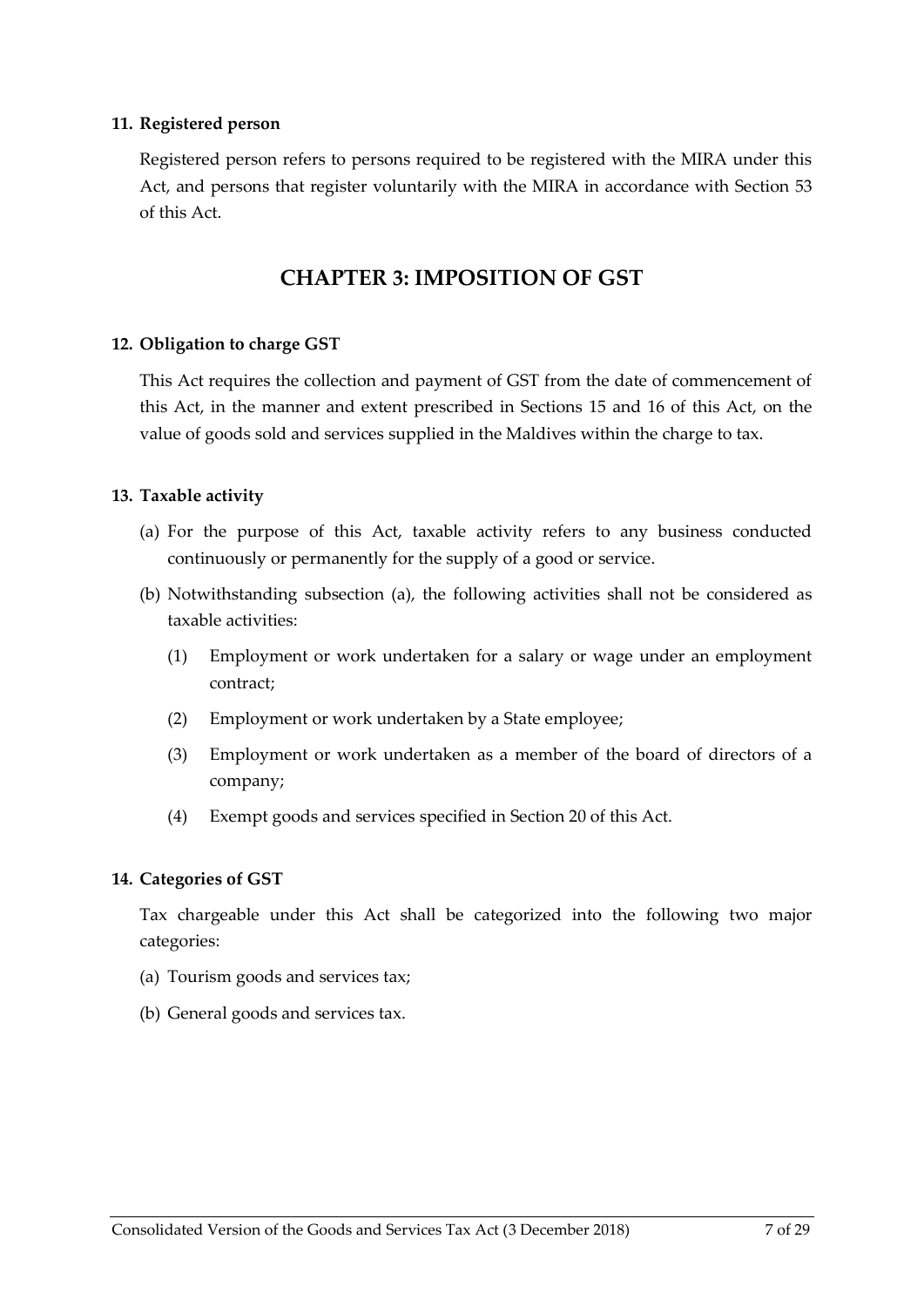#### <span id="page-6-0"></span>**11. Registered person**

Registered person refers to persons required to be registered with the MIRA under this Act, and persons that register voluntarily with the MIRA in accordance with Section [53](#page-22-1) of this Act.

### **CHAPTER 3: IMPOSITION OF GST**

#### <span id="page-6-2"></span><span id="page-6-1"></span>**12. Obligation to charge GST**

This Act requires the collection and payment of GST from the date of commencement of this Act, in the manner and extent prescribed in Sections [15](#page-7-0) and [16](#page-8-0) of this Act, on the value of goods sold and services supplied in the Maldives within the charge to tax.

#### <span id="page-6-3"></span>**13. Taxable activity**

- <span id="page-6-5"></span>(a) For the purpose of this Act, taxable activity refers to any business conducted continuously or permanently for the supply of a good or service.
- (b) Notwithstanding subsection [\(a\),](#page-6-5) the following activities shall not be considered as taxable activities:
	- (1) Employment or work undertaken for a salary or wage under an employment contract;
	- (2) Employment or work undertaken by a State employee;
	- (3) Employment or work undertaken as a member of the board of directors of a company;
	- (4) Exempt goods and services specified in Sectio[n 20](#page-10-1) of this Act.

#### <span id="page-6-4"></span>**14. Categories of GST**

Tax chargeable under this Act shall be categorized into the following two major categories:

- (a) Tourism goods and services tax;
- (b) General goods and services tax.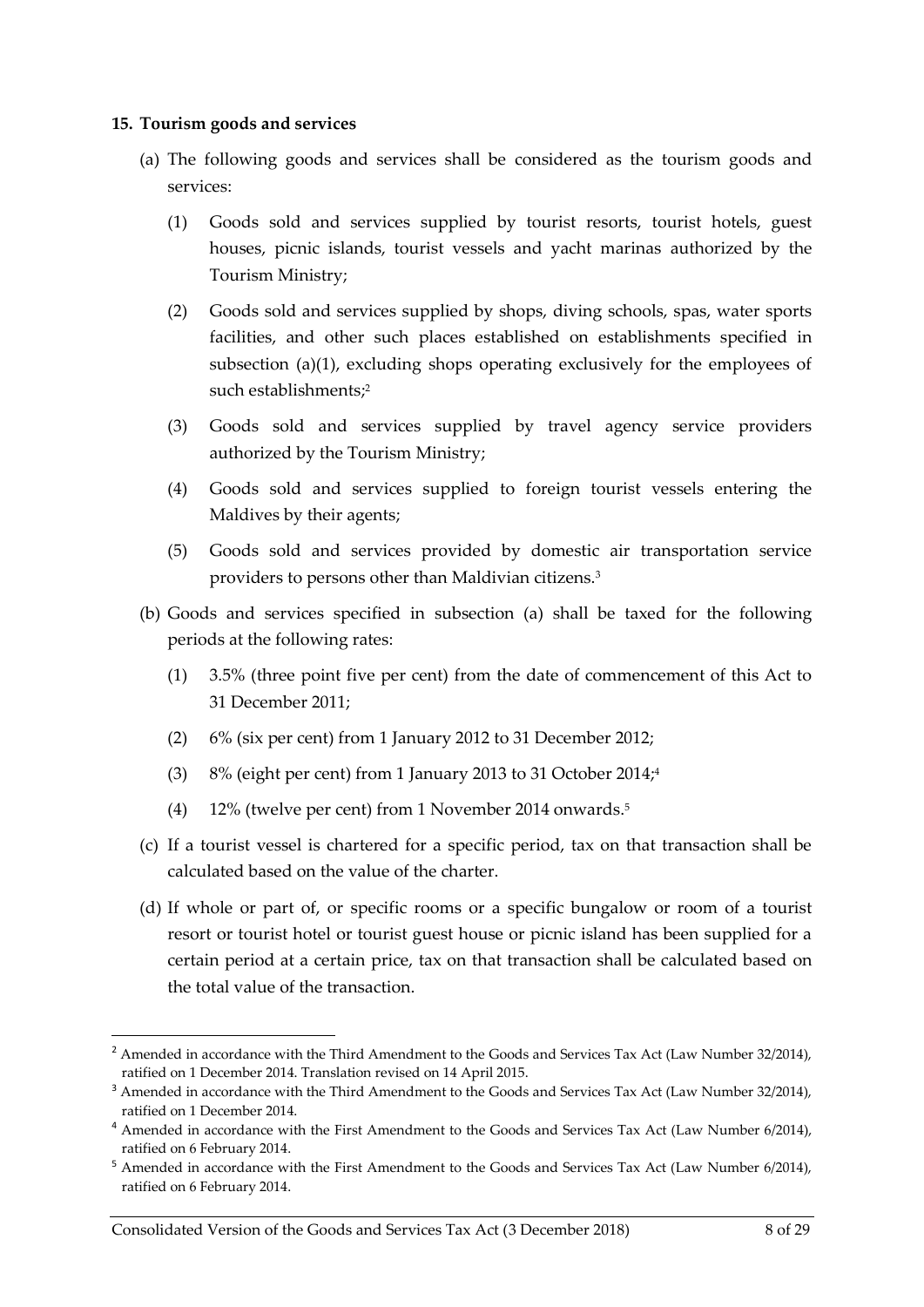#### <span id="page-7-0"></span>**15. Tourism goods and services**

- <span id="page-7-1"></span>(a) The following goods and services shall be considered as the tourism goods and services:
	- (1) Goods sold and services supplied by tourist resorts, tourist hotels, guest houses, picnic islands, tourist vessels and yacht marinas authorized by the Tourism Ministry;
	- (2) Goods sold and services supplied by shops, diving schools, spas, water sports facilities, and other such places established on establishments specified in subsection (a)(1), excluding shops operating exclusively for the employees of such establishments:<sup>2</sup>
	- (3) Goods sold and services supplied by travel agency service providers authorized by the Tourism Ministry;
	- (4) Goods sold and services supplied to foreign tourist vessels entering the Maldives by their agents;
	- (5) Goods sold and services provided by domestic air transportation service providers to persons other than Maldivian citizens.<sup>3</sup>
- <span id="page-7-2"></span>(b) Goods and services specified in subsection [\(a\)](#page-7-1) shall be taxed for the following periods at the following rates:
	- (1) 3.5% (three point five per cent) from the date of commencement of this Act to 31 December 2011;
	- (2) 6% (six per cent) from 1 January 2012 to 31 December 2012;
	- (3) 8% (eight per cent) from 1 January 2013 to 31 October 2014; 4
	- (4) 12% (twelve per cent) from 1 November 2014 onwards.<sup>5</sup>
- (c) If a tourist vessel is chartered for a specific period, tax on that transaction shall be calculated based on the value of the charter.
- (d) If whole or part of, or specific rooms or a specific bungalow or room of a tourist resort or tourist hotel or tourist guest house or picnic island has been supplied for a certain period at a certain price, tax on that transaction shall be calculated based on the total value of the transaction.

 $\overline{a}$ 

<sup>&</sup>lt;sup>2</sup> Amended in accordance with the Third Amendment to the Goods and Services Tax Act (Law Number 32/2014), ratified on 1 December 2014. Translation revised on 14 April 2015.

<sup>&</sup>lt;sup>3</sup> Amended in accordance with the Third Amendment to the Goods and Services Tax Act (Law Number 32/2014), ratified on 1 December 2014.

<sup>4</sup> Amended in accordance with the First Amendment to the Goods and Services Tax Act (Law Number 6/2014), ratified on 6 February 2014.

<sup>&</sup>lt;sup>5</sup> Amended in accordance with the First Amendment to the Goods and Services Tax Act (Law Number 6/2014), ratified on 6 February 2014.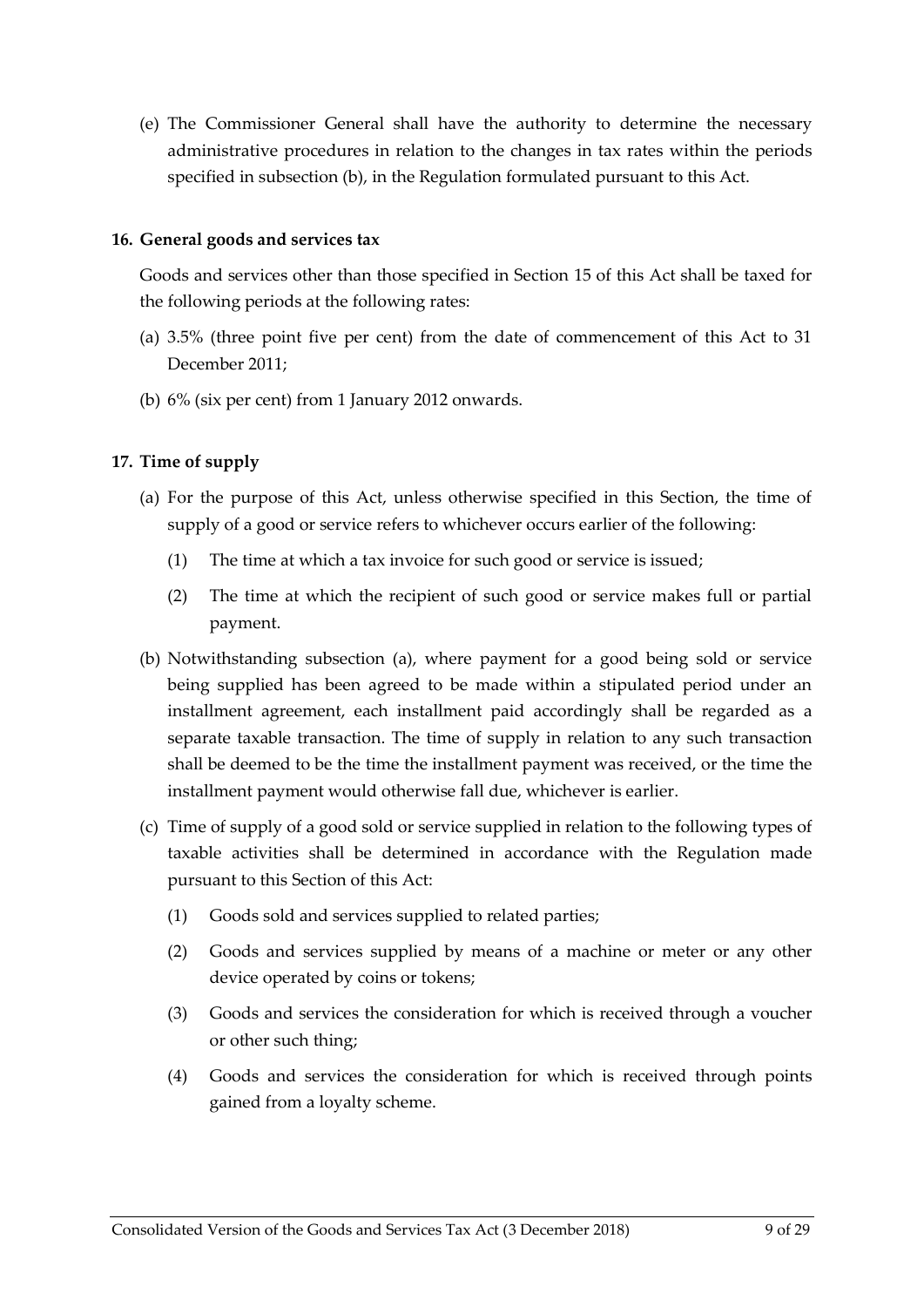(e) The Commissioner General shall have the authority to determine the necessary administrative procedures in relation to the changes in tax rates within the periods specified in subsectio[n \(b\),](#page-7-2) in the Regulation formulated pursuant to this Act.

#### <span id="page-8-0"></span>**16. General goods and services tax**

Goods and services other than those specified in Section [15](#page-7-0) of this Act shall be taxed for the following periods at the following rates:

- (a) 3.5% (three point five per cent) from the date of commencement of this Act to 31 December 2011;
- (b) 6% (six per cent) from 1 January 2012 onwards.

#### <span id="page-8-1"></span>**17. Time of supply**

- <span id="page-8-2"></span>(a) For the purpose of this Act, unless otherwise specified in this Section, the time of supply of a good or service refers to whichever occurs earlier of the following:
	- (1) The time at which a tax invoice for such good or service is issued;
	- (2) The time at which the recipient of such good or service makes full or partial payment.
- (b) Notwithstanding subsection [\(a\),](#page-8-2) where payment for a good being sold or service being supplied has been agreed to be made within a stipulated period under an installment agreement, each installment paid accordingly shall be regarded as a separate taxable transaction. The time of supply in relation to any such transaction shall be deemed to be the time the installment payment was received, or the time the installment payment would otherwise fall due, whichever is earlier.
- (c) Time of supply of a good sold or service supplied in relation to the following types of taxable activities shall be determined in accordance with the Regulation made pursuant to this Section of this Act:
	- (1) Goods sold and services supplied to related parties;
	- (2) Goods and services supplied by means of a machine or meter or any other device operated by coins or tokens;
	- (3) Goods and services the consideration for which is received through a voucher or other such thing;
	- (4) Goods and services the consideration for which is received through points gained from a loyalty scheme.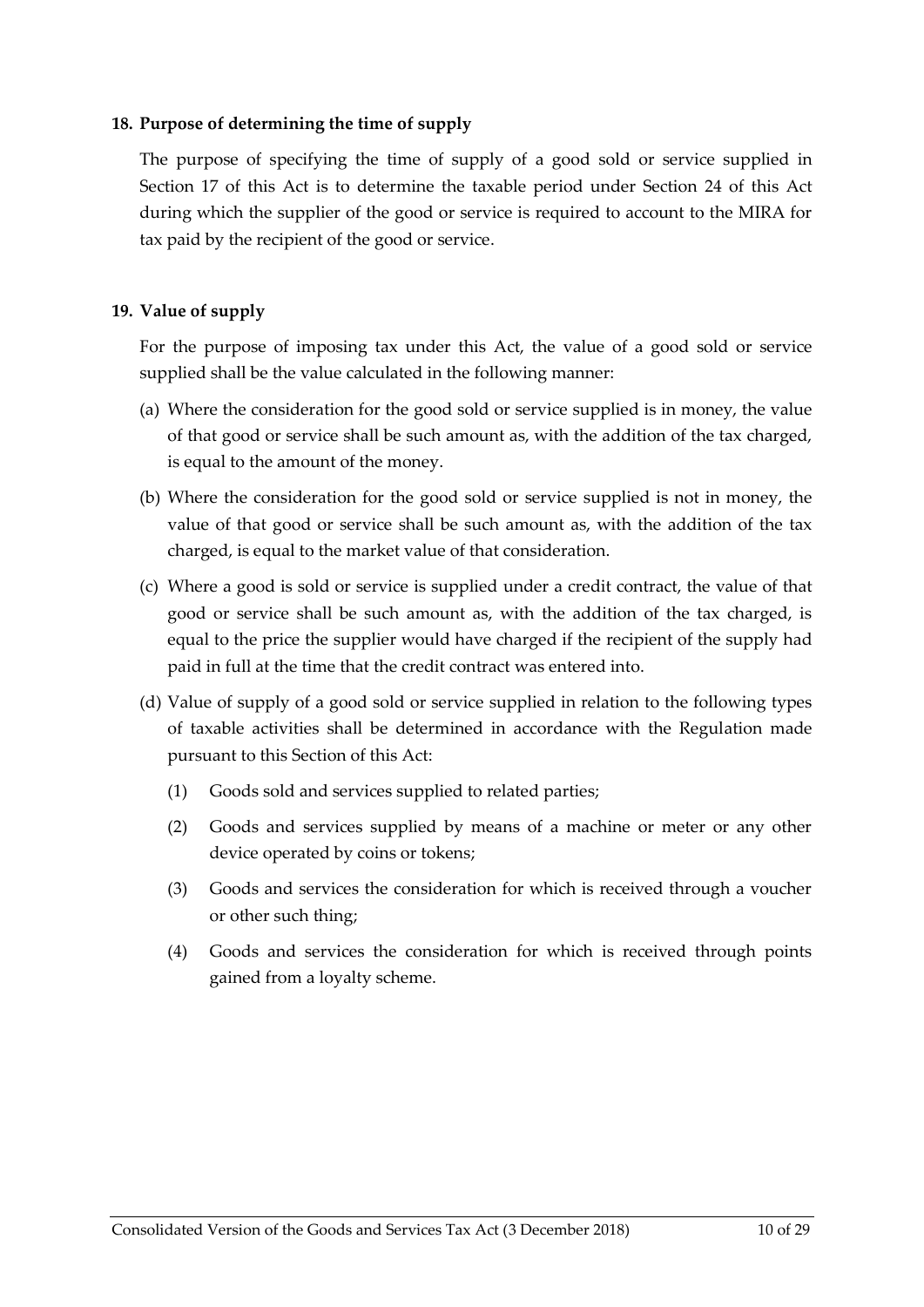#### <span id="page-9-0"></span>**18. Purpose of determining the time of supply**

The purpose of specifying the time of supply of a good sold or service supplied in Section [17](#page-8-1) of this Act is to determine the taxable period under Section [24](#page-12-2) of this Act during which the supplier of the good or service is required to account to the MIRA for tax paid by the recipient of the good or service.

#### <span id="page-9-1"></span>**19. Value of supply**

For the purpose of imposing tax under this Act, the value of a good sold or service supplied shall be the value calculated in the following manner:

- (a) Where the consideration for the good sold or service supplied is in money, the value of that good or service shall be such amount as, with the addition of the tax charged, is equal to the amount of the money.
- (b) Where the consideration for the good sold or service supplied is not in money, the value of that good or service shall be such amount as, with the addition of the tax charged, is equal to the market value of that consideration.
- (c) Where a good is sold or service is supplied under a credit contract, the value of that good or service shall be such amount as, with the addition of the tax charged, is equal to the price the supplier would have charged if the recipient of the supply had paid in full at the time that the credit contract was entered into.
- (d) Value of supply of a good sold or service supplied in relation to the following types of taxable activities shall be determined in accordance with the Regulation made pursuant to this Section of this Act:
	- (1) Goods sold and services supplied to related parties;
	- (2) Goods and services supplied by means of a machine or meter or any other device operated by coins or tokens;
	- (3) Goods and services the consideration for which is received through a voucher or other such thing;
	- (4) Goods and services the consideration for which is received through points gained from a loyalty scheme.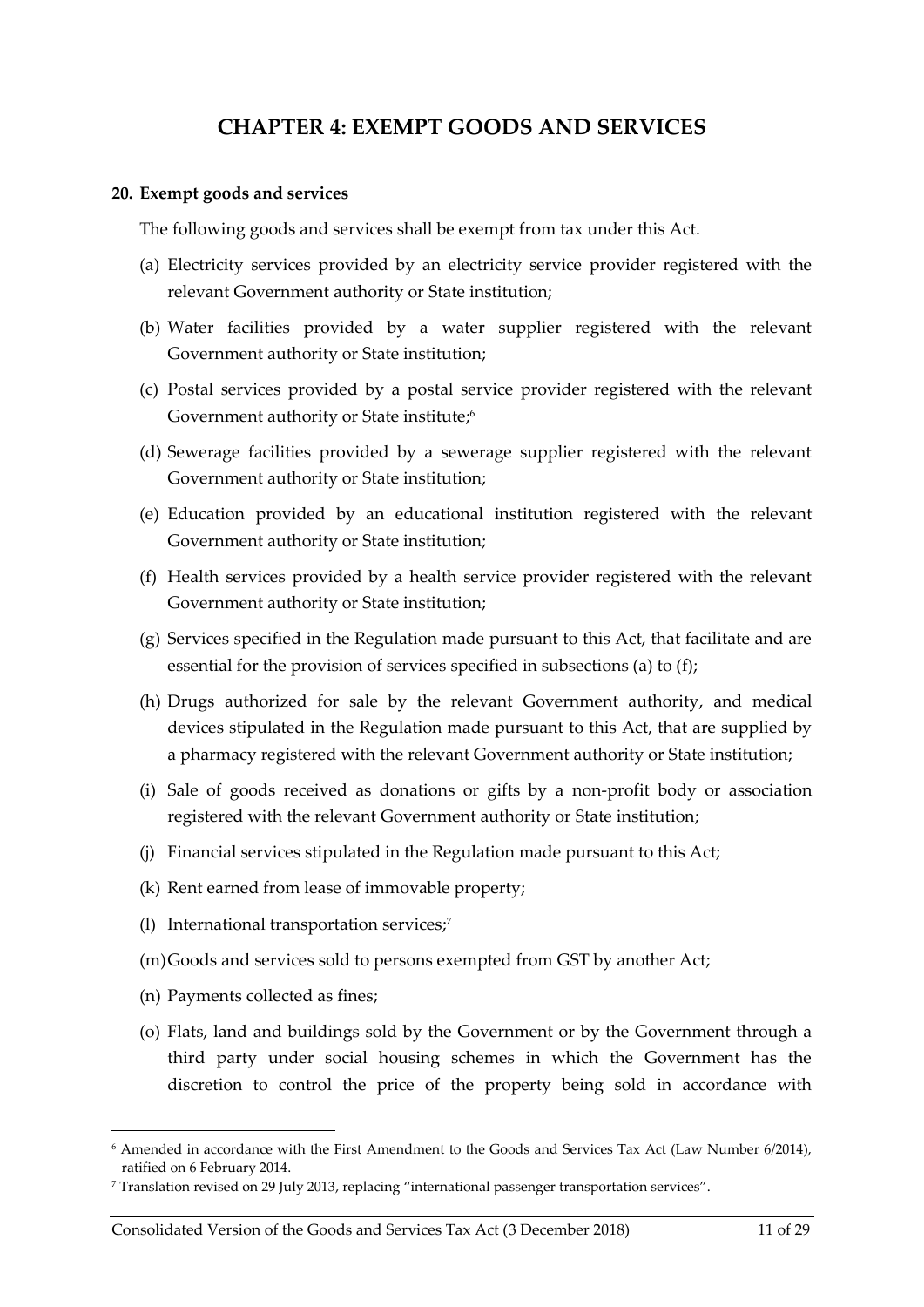### **CHAPTER 4: EXEMPT GOODS AND SERVICES**

#### <span id="page-10-1"></span><span id="page-10-0"></span>**20. Exempt goods and services**

The following goods and services shall be exempt from tax under this Act.

- <span id="page-10-2"></span>(a) Electricity services provided by an electricity service provider registered with the relevant Government authority or State institution;
- (b) Water facilities provided by a water supplier registered with the relevant Government authority or State institution;
- (c) Postal services provided by a postal service provider registered with the relevant Government authority or State institute;<sup>6</sup>
- (d) Sewerage facilities provided by a sewerage supplier registered with the relevant Government authority or State institution;
- (e) Education provided by an educational institution registered with the relevant Government authority or State institution;
- <span id="page-10-3"></span>(f) Health services provided by a health service provider registered with the relevant Government authority or State institution;
- (g) Services specified in the Regulation made pursuant to this Act, that facilitate and are essential for the provision of services specified in subsection[s \(a\)](#page-10-2) t[o \(f\);](#page-10-3)
- (h) Drugs authorized for sale by the relevant Government authority, and medical devices stipulated in the Regulation made pursuant to this Act, that are supplied by a pharmacy registered with the relevant Government authority or State institution;
- (i) Sale of goods received as donations or gifts by a non-profit body or association registered with the relevant Government authority or State institution;
- (j) Financial services stipulated in the Regulation made pursuant to this Act;
- (k) Rent earned from lease of immovable property;
- (l) International transportation services; 7
- <span id="page-10-4"></span>(m)Goods and services sold to persons exempted from GST by another Act;
- (n) Payments collected as fines;

 $\overline{a}$ 

(o) Flats, land and buildings sold by the Government or by the Government through a third party under social housing schemes in which the Government has the discretion to control the price of the property being sold in accordance with

<sup>6</sup> Amended in accordance with the First Amendment to the Goods and Services Tax Act (Law Number 6/2014), ratified on 6 February 2014.

<sup>7</sup> Translation revised on 29 July 2013, replacing "international passenger transportation services".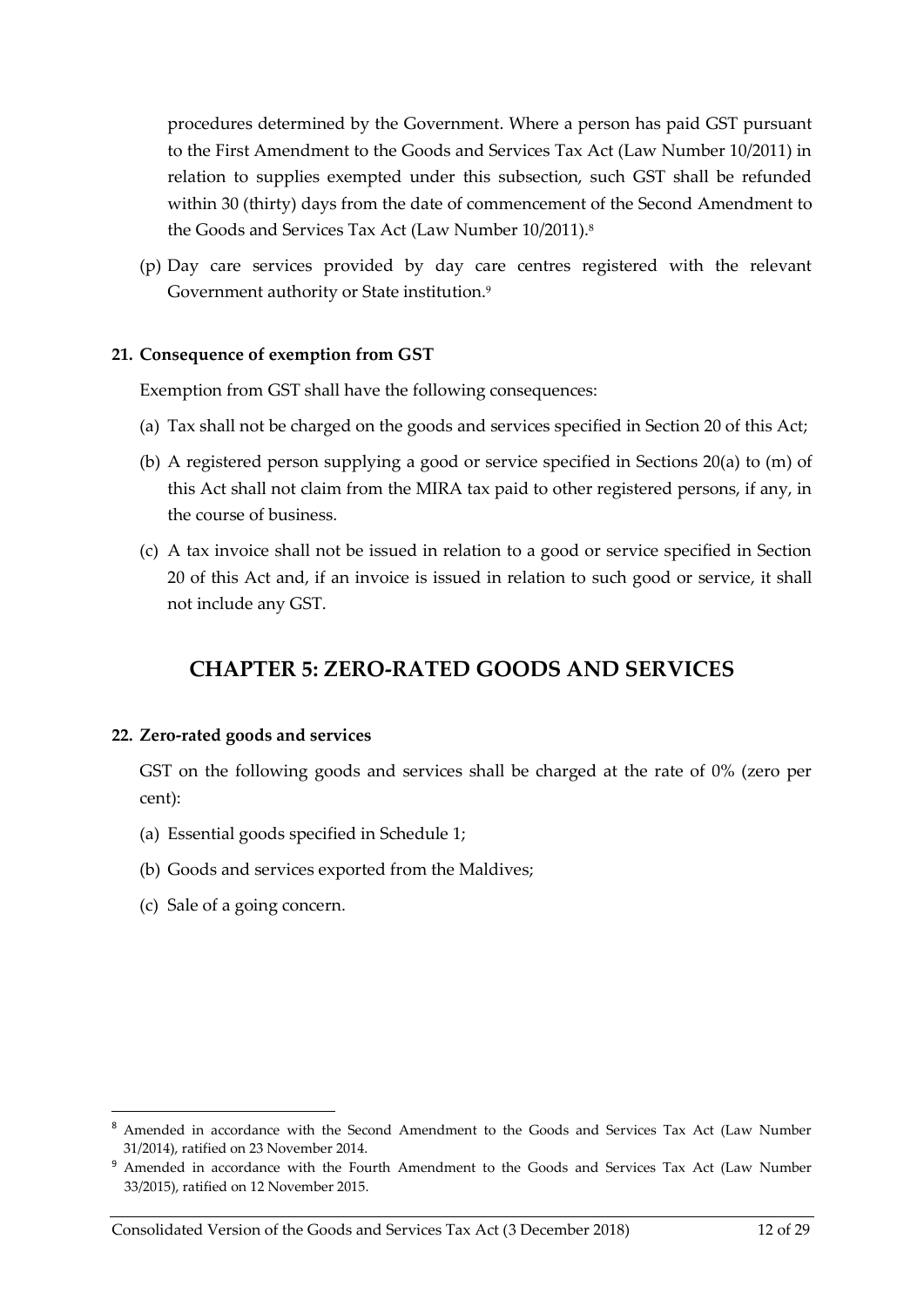procedures determined by the Government. Where a person has paid GST pursuant to the First Amendment to the Goods and Services Tax Act (Law Number 10/2011) in relation to supplies exempted under this subsection, such GST shall be refunded within 30 (thirty) days from the date of commencement of the Second Amendment to the Goods and Services Tax Act (Law Number 10/2011).<sup>8</sup>

(p) Day care services provided by day care centres registered with the relevant Government authority or State institution.<sup>9</sup>

#### <span id="page-11-0"></span>**21. Consequence of exemption from GST**

Exemption from GST shall have the following consequences:

- (a) Tax shall not be charged on the goods and services specified in Sectio[n 20](#page-10-1) of this Act;
- (b) A registered person supplying a good or service specified in Sections [20\(a\)](#page-10-1) to [\(m\)](#page-10-4) of this Act shall not claim from the MIRA tax paid to other registered persons, if any, in the course of business.
- (c) A tax invoice shall not be issued in relation to a good or service specified in Section [20](#page-10-1) of this Act and, if an invoice is issued in relation to such good or service, it shall not include any GST.

### **CHAPTER 5: ZERO-RATED GOODS AND SERVICES**

#### <span id="page-11-2"></span><span id="page-11-1"></span>**22. Zero-rated goods and services**

GST on the following goods and services shall be charged at the rate of 0% (zero per cent):

- (a) Essential goods specified in Schedule 1;
- (b) Goods and services exported from the Maldives;
- (c) Sale of a going concern.

1

<sup>&</sup>lt;sup>8</sup> Amended in accordance with the Second Amendment to the Goods and Services Tax Act (Law Number 31/2014), ratified on 23 November 2014.

<sup>9</sup> Amended in accordance with the Fourth Amendment to the Goods and Services Tax Act (Law Number 33/2015), ratified on 12 November 2015.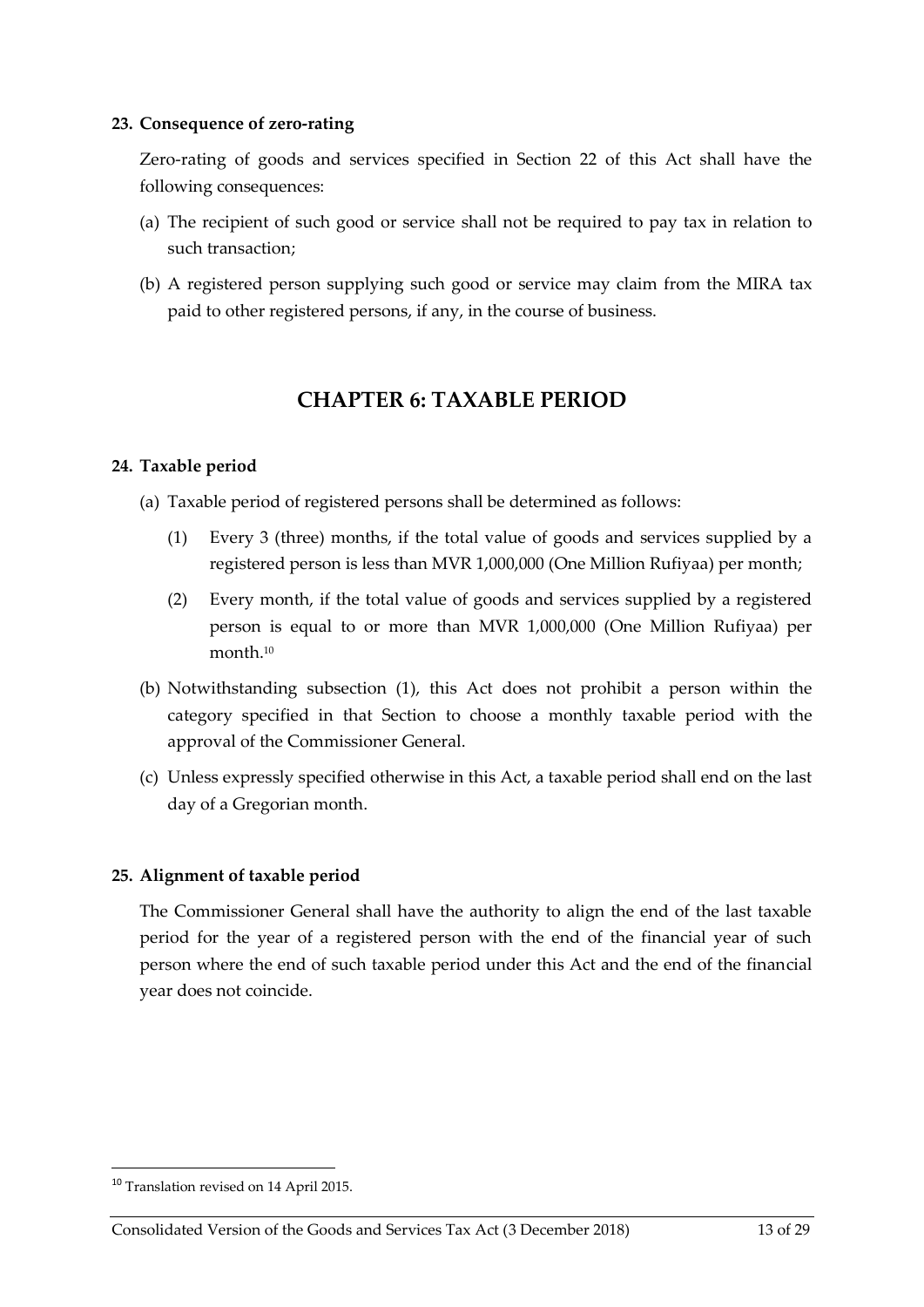#### <span id="page-12-0"></span>**23. Consequence of zero-rating**

Zero-rating of goods and services specified in Section [22](#page-11-2) of this Act shall have the following consequences:

- (a) The recipient of such good or service shall not be required to pay tax in relation to such transaction;
- <span id="page-12-1"></span>(b) A registered person supplying such good or service may claim from the MIRA tax paid to other registered persons, if any, in the course of business.

### **CHAPTER 6: TAXABLE PERIOD**

#### <span id="page-12-2"></span>**24. Taxable period**

<span id="page-12-4"></span>(a) Taxable period of registered persons shall be determined as follows:

- (1) Every 3 (three) months, if the total value of goods and services supplied by a registered person is less than MVR 1,000,000 (One Million Rufiyaa) per month;
- (2) Every month, if the total value of goods and services supplied by a registered person is equal to or more than MVR 1,000,000 (One Million Rufiyaa) per month.<sup>10</sup>
- (b) Notwithstanding subsection [\(1\),](#page-12-4) this Act does not prohibit a person within the category specified in that Section to choose a monthly taxable period with the approval of the Commissioner General.
- (c) Unless expressly specified otherwise in this Act, a taxable period shall end on the last day of a Gregorian month.

### <span id="page-12-3"></span>**25. Alignment of taxable period**

The Commissioner General shall have the authority to align the end of the last taxable period for the year of a registered person with the end of the financial year of such person where the end of such taxable period under this Act and the end of the financial year does not coincide.

**.** 

<sup>10</sup> Translation revised on 14 April 2015.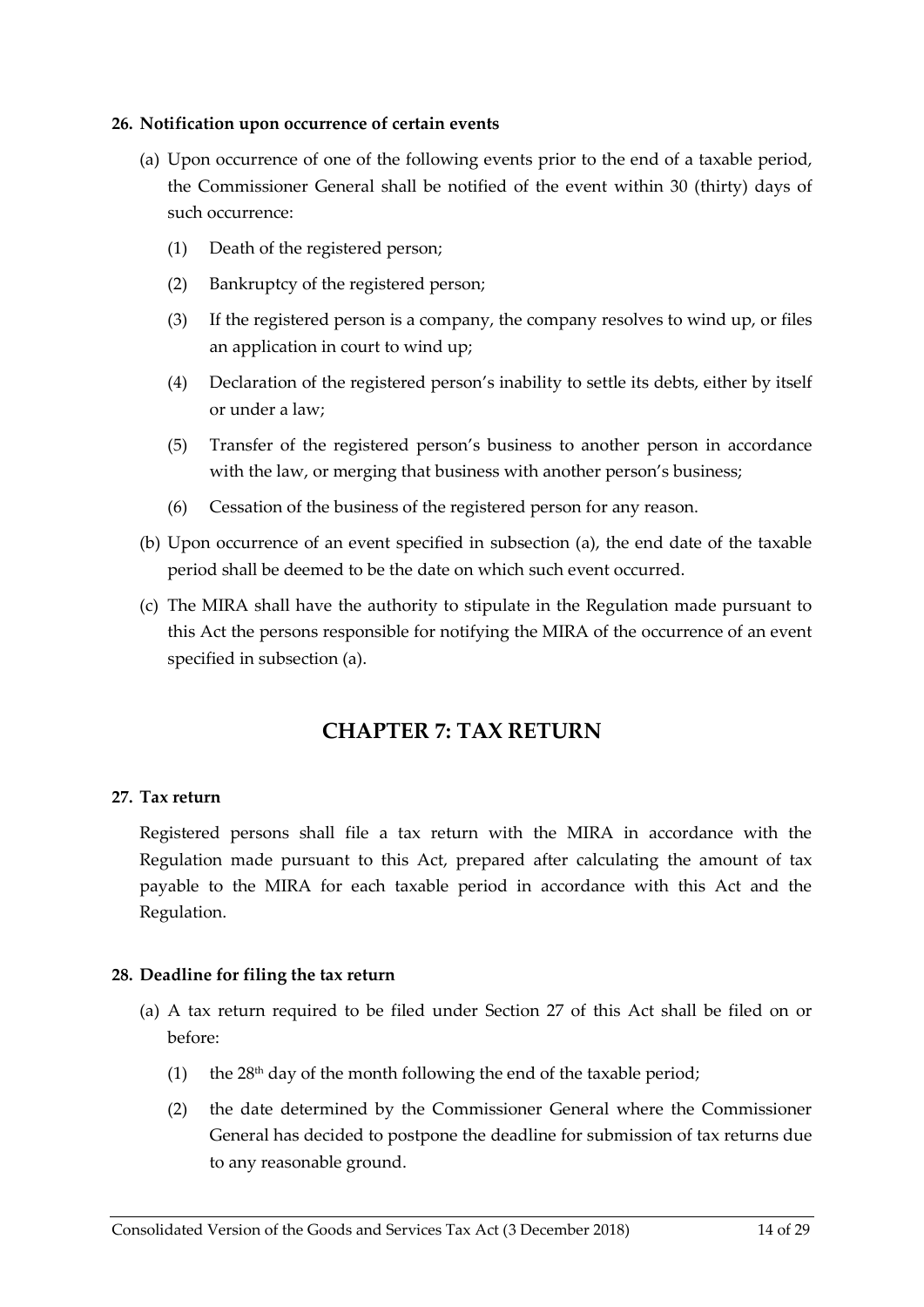#### <span id="page-13-0"></span>**26. Notification upon occurrence of certain events**

- <span id="page-13-4"></span>(a) Upon occurrence of one of the following events prior to the end of a taxable period, the Commissioner General shall be notified of the event within 30 (thirty) days of such occurrence:
	- (1) Death of the registered person;
	- (2) Bankruptcy of the registered person;
	- (3) If the registered person is a company, the company resolves to wind up, or files an application in court to wind up;
	- (4) Declaration of the registered person's inability to settle its debts, either by itself or under a law;
	- (5) Transfer of the registered person's business to another person in accordance with the law, or merging that business with another person's business;
	- (6) Cessation of the business of the registered person for any reason.
- (b) Upon occurrence of an event specified in subsection [\(a\),](#page-13-4) the end date of the taxable period shall be deemed to be the date on which such event occurred.
- (c) The MIRA shall have the authority to stipulate in the Regulation made pursuant to this Act the persons responsible for notifying the MIRA of the occurrence of an event specified in subsection [\(a\).](#page-13-4)

## **CHAPTER 7: TAX RETURN**

#### <span id="page-13-2"></span><span id="page-13-1"></span>**27. Tax return**

Registered persons shall file a tax return with the MIRA in accordance with the Regulation made pursuant to this Act, prepared after calculating the amount of tax payable to the MIRA for each taxable period in accordance with this Act and the Regulation.

#### <span id="page-13-3"></span>**28. Deadline for filing the tax return**

- (a) A tax return required to be filed under Section [27](#page-13-2) of this Act shall be filed on or before:
	- (1) the  $28<sup>th</sup>$  day of the month following the end of the taxable period;
	- (2) the date determined by the Commissioner General where the Commissioner General has decided to postpone the deadline for submission of tax returns due to any reasonable ground.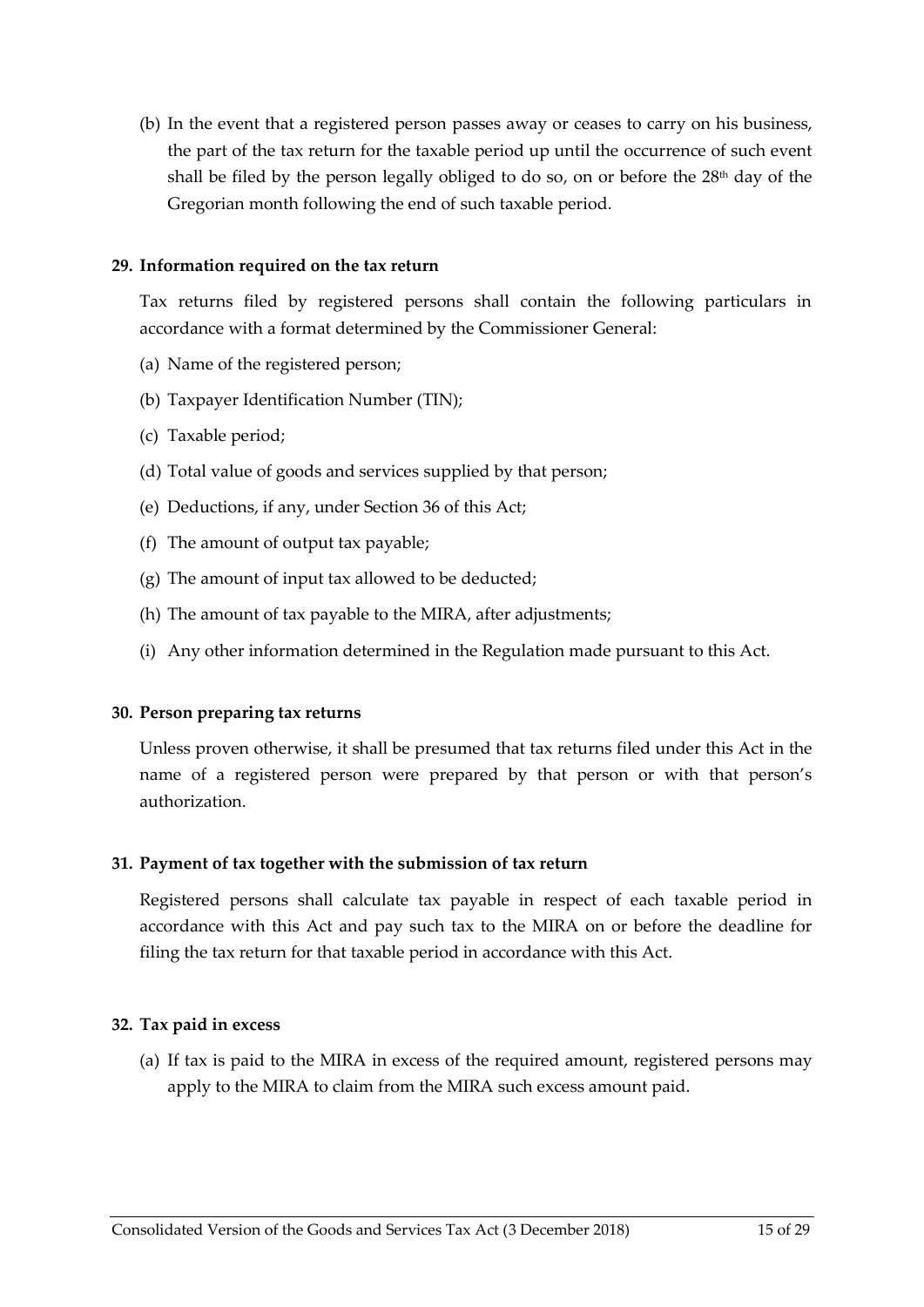(b) In the event that a registered person passes away or ceases to carry on his business, the part of the tax return for the taxable period up until the occurrence of such event shall be filed by the person legally obliged to do so, on or before the 28<sup>th</sup> day of the Gregorian month following the end of such taxable period.

#### <span id="page-14-0"></span>**29. Information required on the tax return**

Tax returns filed by registered persons shall contain the following particulars in accordance with a format determined by the Commissioner General:

- (a) Name of the registered person;
- (b) Taxpayer Identification Number (TIN);
- (c) Taxable period;
- (d) Total value of goods and services supplied by that person;
- (e) Deductions, if any, under Section [36](#page-16-0) of this Act;
- (f) The amount of output tax payable;
- (g) The amount of input tax allowed to be deducted;
- (h) The amount of tax payable to the MIRA, after adjustments;
- (i) Any other information determined in the Regulation made pursuant to this Act.

#### <span id="page-14-1"></span>**30. Person preparing tax returns**

Unless proven otherwise, it shall be presumed that tax returns filed under this Act in the name of a registered person were prepared by that person or with that person's authorization.

#### <span id="page-14-2"></span>**31. Payment of tax together with the submission of tax return**

Registered persons shall calculate tax payable in respect of each taxable period in accordance with this Act and pay such tax to the MIRA on or before the deadline for filing the tax return for that taxable period in accordance with this Act.

#### <span id="page-14-3"></span>**32. Tax paid in excess**

<span id="page-14-4"></span>(a) If tax is paid to the MIRA in excess of the required amount, registered persons may apply to the MIRA to claim from the MIRA such excess amount paid.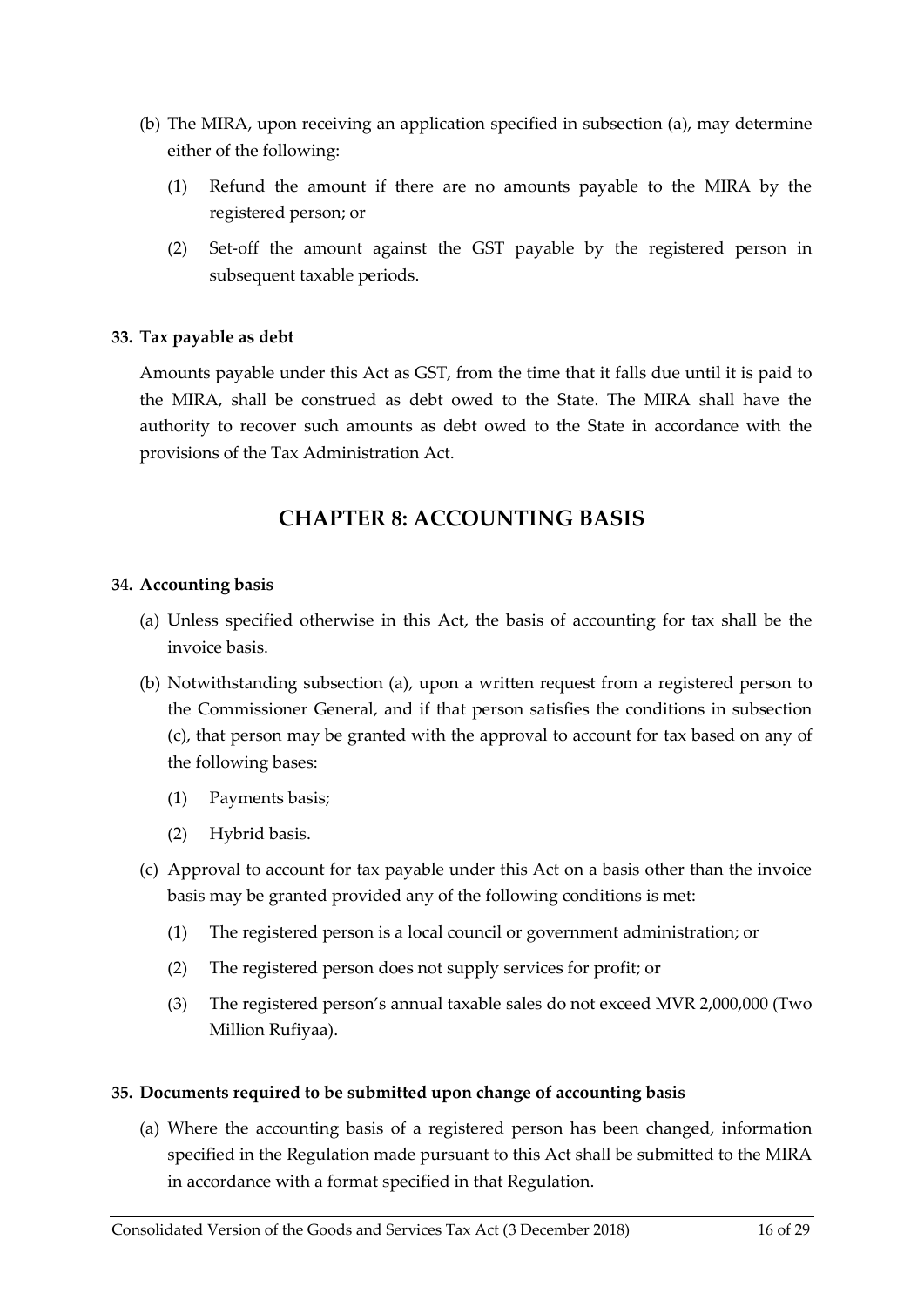- (b) The MIRA, upon receiving an application specified in subsection [\(a\),](#page-14-4) may determine either of the following:
	- (1) Refund the amount if there are no amounts payable to the MIRA by the registered person; or
	- (2) Set-off the amount against the GST payable by the registered person in subsequent taxable periods.

#### <span id="page-15-0"></span>**33. Tax payable as debt**

Amounts payable under this Act as GST, from the time that it falls due until it is paid to the MIRA, shall be construed as debt owed to the State. The MIRA shall have the authority to recover such amounts as debt owed to the State in accordance with the provisions of the Tax Administration Act.

### **CHAPTER 8: ACCOUNTING BASIS**

#### <span id="page-15-2"></span><span id="page-15-1"></span>**34. Accounting basis**

- <span id="page-15-4"></span>(a) Unless specified otherwise in this Act, the basis of accounting for tax shall be the invoice basis.
- (b) Notwithstanding subsection [\(a\),](#page-15-4) upon a written request from a registered person to the Commissioner General, and if that person satisfies the conditions in subsection [\(c\),](#page-15-5) that person may be granted with the approval to account for tax based on any of the following bases:
	- (1) Payments basis;
	- (2) Hybrid basis.
- <span id="page-15-5"></span>(c) Approval to account for tax payable under this Act on a basis other than the invoice basis may be granted provided any of the following conditions is met:
	- (1) The registered person is a local council or government administration; or
	- (2) The registered person does not supply services for profit; or
	- (3) The registered person's annual taxable sales do not exceed MVR 2,000,000 (Two Million Rufiyaa).

#### <span id="page-15-3"></span>**35. Documents required to be submitted upon change of accounting basis**

<span id="page-15-6"></span>(a) Where the accounting basis of a registered person has been changed, information specified in the Regulation made pursuant to this Act shall be submitted to the MIRA in accordance with a format specified in that Regulation.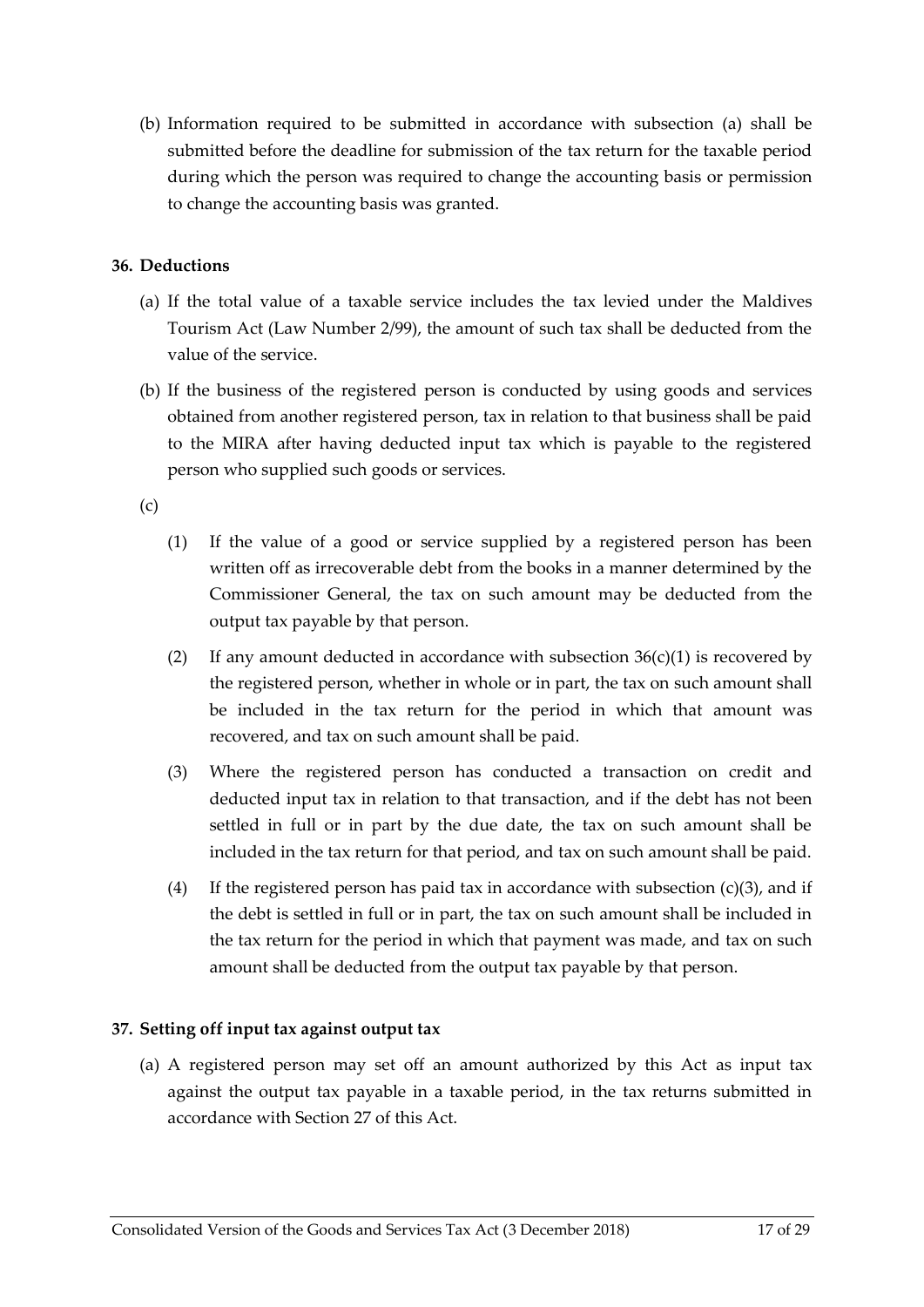(b) Information required to be submitted in accordance with subsection [\(a\)](#page-15-6) shall be submitted before the deadline for submission of the tax return for the taxable period during which the person was required to change the accounting basis or permission to change the accounting basis was granted.

#### <span id="page-16-0"></span>**36. Deductions**

- (a) If the total value of a taxable service includes the tax levied under the Maldives Tourism Act (Law Number 2/99), the amount of such tax shall be deducted from the value of the service.
- (b) If the business of the registered person is conducted by using goods and services obtained from another registered person, tax in relation to that business shall be paid to the MIRA after having deducted input tax which is payable to the registered person who supplied such goods or services.

<span id="page-16-3"></span><span id="page-16-2"></span>(c)

- (1) If the value of a good or service supplied by a registered person has been written off as irrecoverable debt from the books in a manner determined by the Commissioner General, the tax on such amount may be deducted from the output tax payable by that person.
- (2) If any amount deducted in accordance with subsection  $36(c)(1)$  $36(c)(1)$  is recovered by the registered person, whether in whole or in part, the tax on such amount shall be included in the tax return for the period in which that amount was recovered, and tax on such amount shall be paid.
- (3) Where the registered person has conducted a transaction on credit and deducted input tax in relation to that transaction, and if the debt has not been settled in full or in part by the due date, the tax on such amount shall be included in the tax return for that period, and tax on such amount shall be paid.
- (4) If the registered person has paid tax in accordance with subsection  $(c)(3)$ , and if the debt is settled in full or in part, the tax on such amount shall be included in the tax return for the period in which that payment was made, and tax on such amount shall be deducted from the output tax payable by that person.

### <span id="page-16-1"></span>**37. Setting off input tax against output tax**

<span id="page-16-4"></span>(a) A registered person may set off an amount authorized by this Act as input tax against the output tax payable in a taxable period, in the tax returns submitted in accordance with Section [27](#page-13-2) of this Act.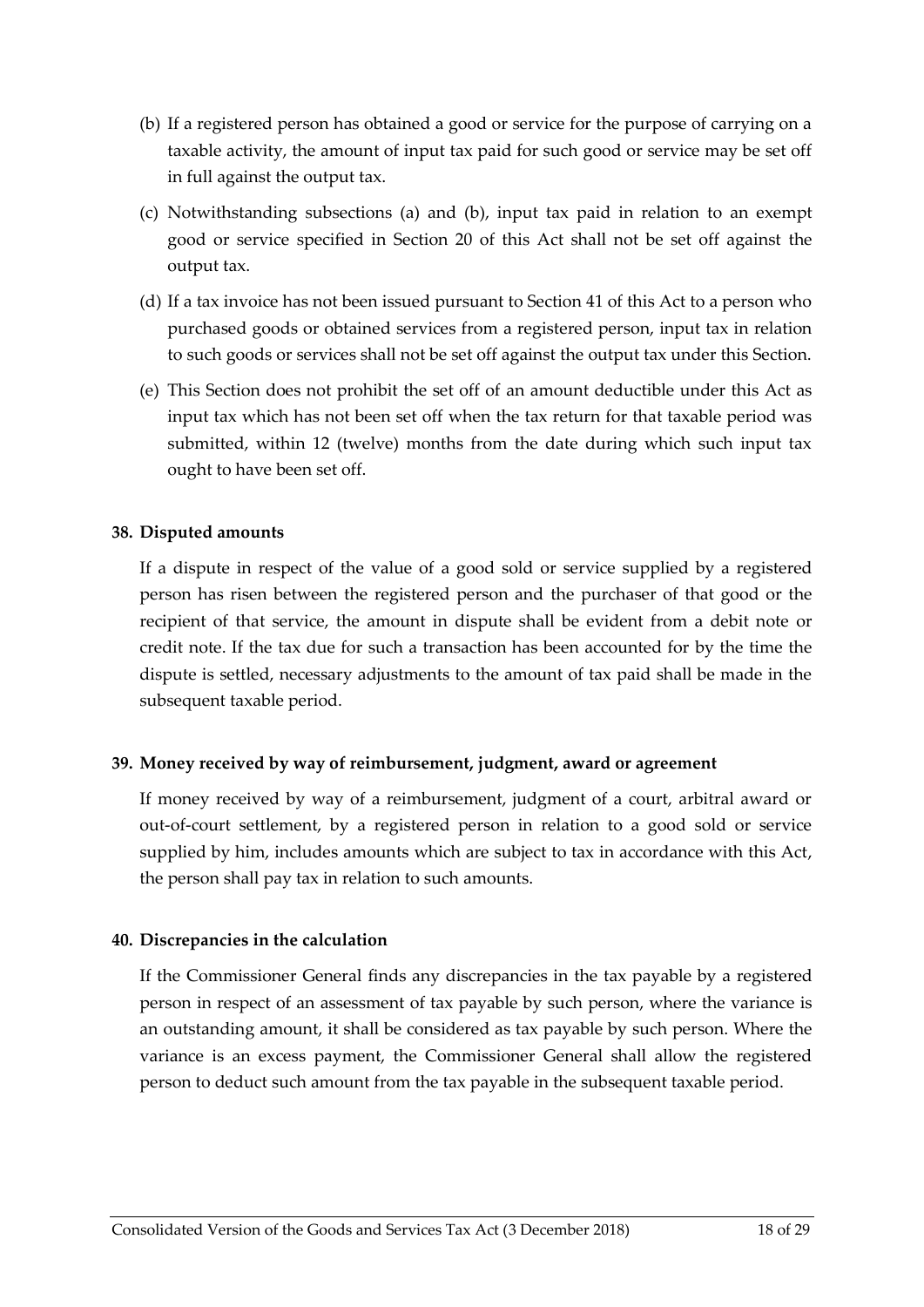- <span id="page-17-3"></span>(b) If a registered person has obtained a good or service for the purpose of carrying on a taxable activity, the amount of input tax paid for such good or service may be set off in full against the output tax.
- (c) Notwithstanding subsections [\(a\)](#page-16-4) and [\(b\),](#page-17-3) input tax paid in relation to an exempt good or service specified in Section [20](#page-10-1) of this Act shall not be set off against the output tax.
- (d) If a tax invoice has not been issued pursuant to Section 41 of this Act to a person who purchased goods or obtained services from a registered person, input tax in relation to such goods or services shall not be set off against the output tax under this Section.
- (e) This Section does not prohibit the set off of an amount deductible under this Act as input tax which has not been set off when the tax return for that taxable period was submitted, within 12 (twelve) months from the date during which such input tax ought to have been set off.

#### <span id="page-17-0"></span>**38. Disputed amounts**

If a dispute in respect of the value of a good sold or service supplied by a registered person has risen between the registered person and the purchaser of that good or the recipient of that service, the amount in dispute shall be evident from a debit note or credit note. If the tax due for such a transaction has been accounted for by the time the dispute is settled, necessary adjustments to the amount of tax paid shall be made in the subsequent taxable period.

#### <span id="page-17-1"></span>**39. Money received by way of reimbursement, judgment, award or agreement**

If money received by way of a reimbursement, judgment of a court, arbitral award or out-of-court settlement, by a registered person in relation to a good sold or service supplied by him, includes amounts which are subject to tax in accordance with this Act, the person shall pay tax in relation to such amounts.

#### <span id="page-17-2"></span>**40. Discrepancies in the calculation**

If the Commissioner General finds any discrepancies in the tax payable by a registered person in respect of an assessment of tax payable by such person, where the variance is an outstanding amount, it shall be considered as tax payable by such person. Where the variance is an excess payment, the Commissioner General shall allow the registered person to deduct such amount from the tax payable in the subsequent taxable period.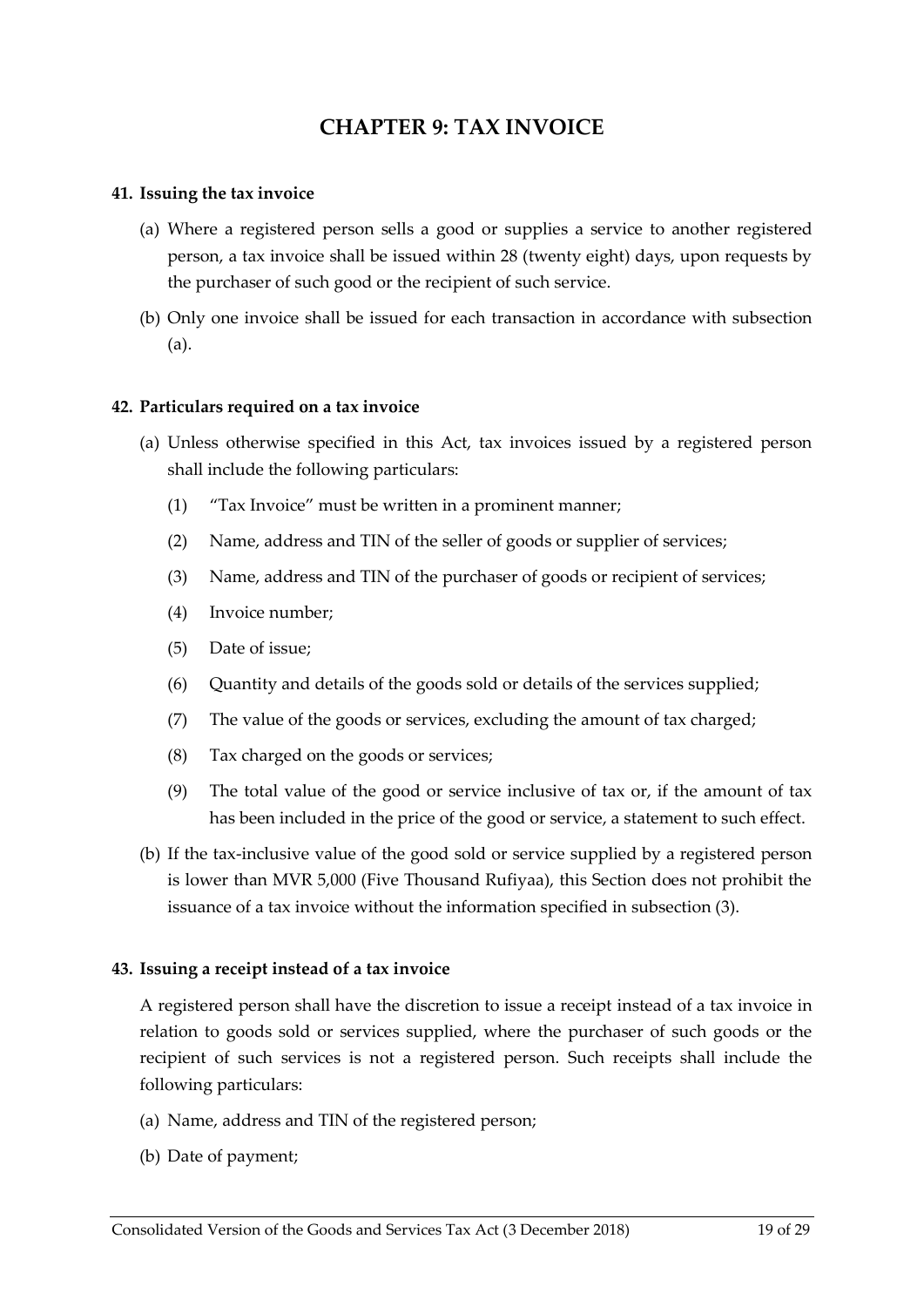### **CHAPTER 9: TAX INVOICE**

#### <span id="page-18-1"></span><span id="page-18-0"></span>**41. Issuing the tax invoice**

- <span id="page-18-4"></span>(a) Where a registered person sells a good or supplies a service to another registered person, a tax invoice shall be issued within 28 (twenty eight) days, upon requests by the purchaser of such good or the recipient of such service.
- (b) Only one invoice shall be issued for each transaction in accordance with subsection [\(a\).](#page-18-4)

#### <span id="page-18-2"></span>**42. Particulars required on a tax invoice**

- <span id="page-18-5"></span>(a) Unless otherwise specified in this Act, tax invoices issued by a registered person shall include the following particulars:
	- (1) "Tax Invoice" must be written in a prominent manner;
	- (2) Name, address and TIN of the seller of goods or supplier of services;
	- (3) Name, address and TIN of the purchaser of goods or recipient of services;
	- (4) Invoice number;
	- (5) Date of issue;
	- (6) Quantity and details of the goods sold or details of the services supplied;
	- (7) The value of the goods or services, excluding the amount of tax charged;
	- (8) Tax charged on the goods or services;
	- (9) The total value of the good or service inclusive of tax or, if the amount of tax has been included in the price of the good or service, a statement to such effect.
- (b) If the tax-inclusive value of the good sold or service supplied by a registered person is lower than MVR 5,000 (Five Thousand Rufiyaa), this Section does not prohibit the issuance of a tax invoice without the information specified in subsection [\(3\).](#page-18-5)

#### <span id="page-18-3"></span>**43. Issuing a receipt instead of a tax invoice**

A registered person shall have the discretion to issue a receipt instead of a tax invoice in relation to goods sold or services supplied, where the purchaser of such goods or the recipient of such services is not a registered person. Such receipts shall include the following particulars:

- (a) Name, address and TIN of the registered person;
- (b) Date of payment;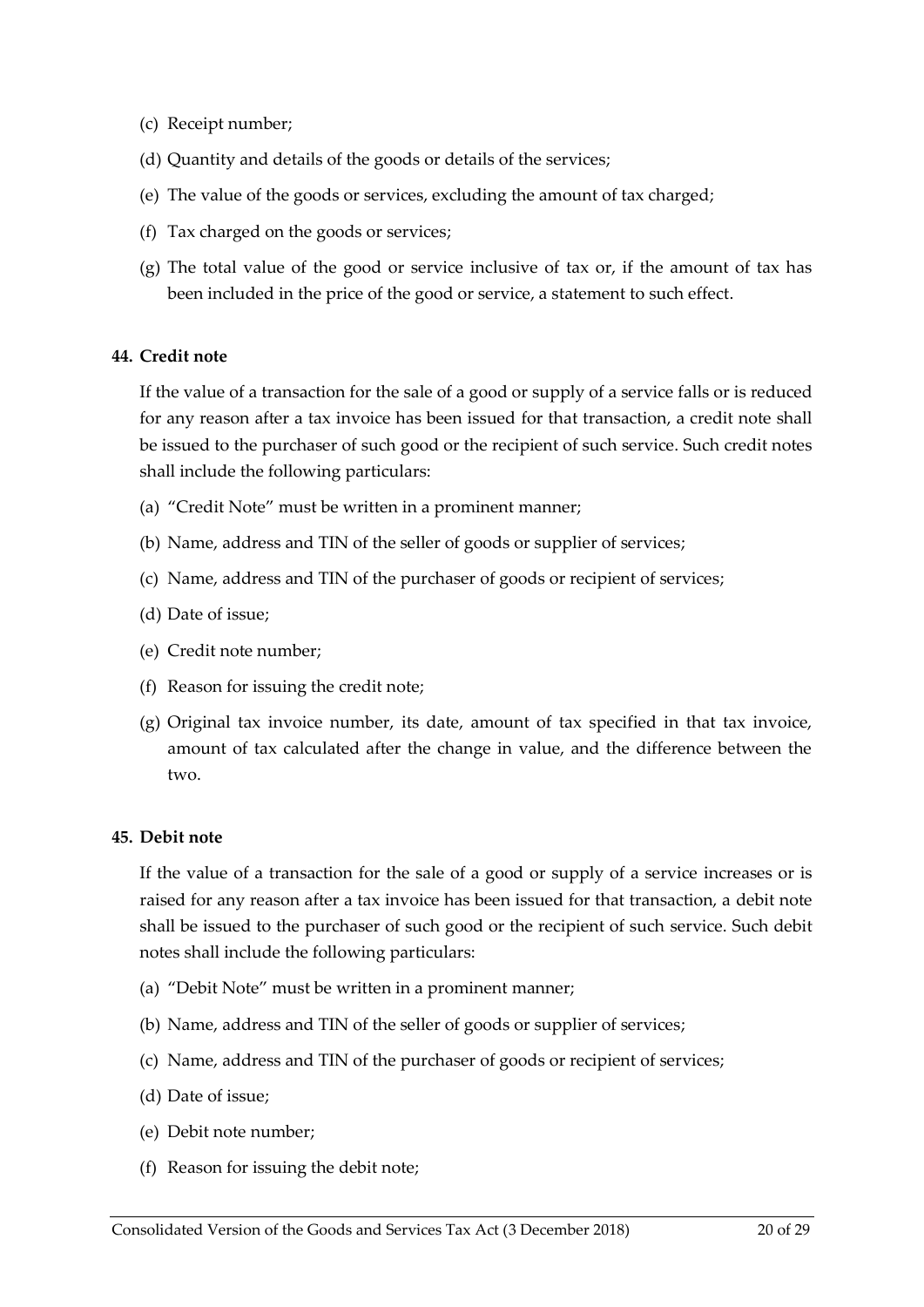- (c) Receipt number;
- (d) Quantity and details of the goods or details of the services;
- (e) The value of the goods or services, excluding the amount of tax charged;
- (f) Tax charged on the goods or services;
- (g) The total value of the good or service inclusive of tax or, if the amount of tax has been included in the price of the good or service, a statement to such effect.

#### <span id="page-19-0"></span>**44. Credit note**

If the value of a transaction for the sale of a good or supply of a service falls or is reduced for any reason after a tax invoice has been issued for that transaction, a credit note shall be issued to the purchaser of such good or the recipient of such service. Such credit notes shall include the following particulars:

- (a) "Credit Note" must be written in a prominent manner;
- (b) Name, address and TIN of the seller of goods or supplier of services;
- (c) Name, address and TIN of the purchaser of goods or recipient of services;
- (d) Date of issue;
- (e) Credit note number;
- (f) Reason for issuing the credit note;
- (g) Original tax invoice number, its date, amount of tax specified in that tax invoice, amount of tax calculated after the change in value, and the difference between the two.

#### <span id="page-19-1"></span>**45. Debit note**

If the value of a transaction for the sale of a good or supply of a service increases or is raised for any reason after a tax invoice has been issued for that transaction, a debit note shall be issued to the purchaser of such good or the recipient of such service. Such debit notes shall include the following particulars:

- (a) "Debit Note" must be written in a prominent manner;
- (b) Name, address and TIN of the seller of goods or supplier of services;
- (c) Name, address and TIN of the purchaser of goods or recipient of services;
- (d) Date of issue;
- (e) Debit note number;
- (f) Reason for issuing the debit note;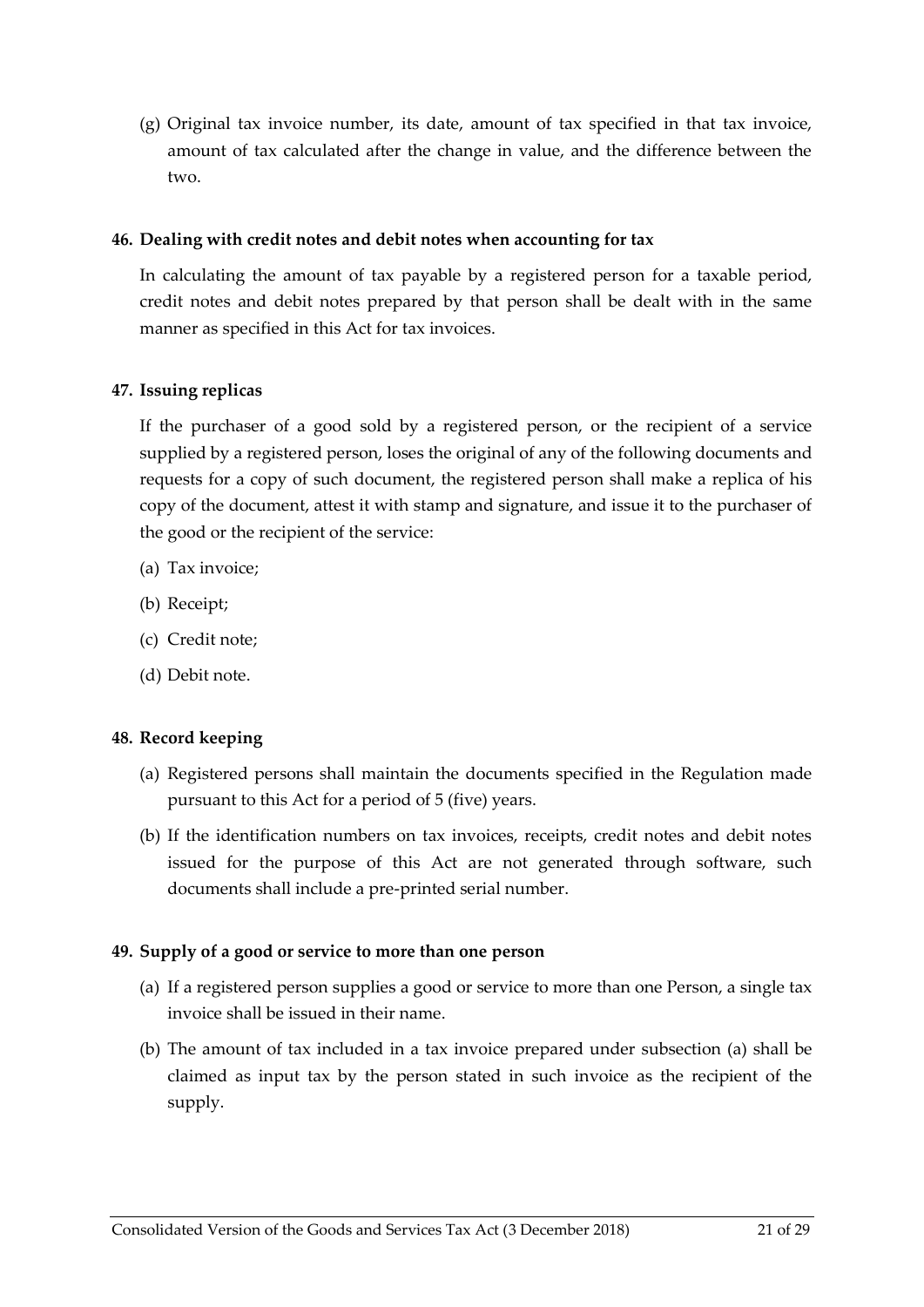(g) Original tax invoice number, its date, amount of tax specified in that tax invoice, amount of tax calculated after the change in value, and the difference between the two.

#### <span id="page-20-0"></span>**46. Dealing with credit notes and debit notes when accounting for tax**

In calculating the amount of tax payable by a registered person for a taxable period, credit notes and debit notes prepared by that person shall be dealt with in the same manner as specified in this Act for tax invoices.

#### <span id="page-20-1"></span>**47. Issuing replicas**

If the purchaser of a good sold by a registered person, or the recipient of a service supplied by a registered person, loses the original of any of the following documents and requests for a copy of such document, the registered person shall make a replica of his copy of the document, attest it with stamp and signature, and issue it to the purchaser of the good or the recipient of the service:

- (a) Tax invoice;
- (b) Receipt;
- (c) Credit note;
- (d) Debit note.

#### <span id="page-20-2"></span>**48. Record keeping**

- (a) Registered persons shall maintain the documents specified in the Regulation made pursuant to this Act for a period of 5 (five) years.
- (b) If the identification numbers on tax invoices, receipts, credit notes and debit notes issued for the purpose of this Act are not generated through software, such documents shall include a pre-printed serial number.

#### <span id="page-20-3"></span>**49. Supply of a good or service to more than one person**

- <span id="page-20-4"></span>(a) If a registered person supplies a good or service to more than one Person, a single tax invoice shall be issued in their name.
- (b) The amount of tax included in a tax invoice prepared under subsection [\(a\)](#page-20-4) shall be claimed as input tax by the person stated in such invoice as the recipient of the supply.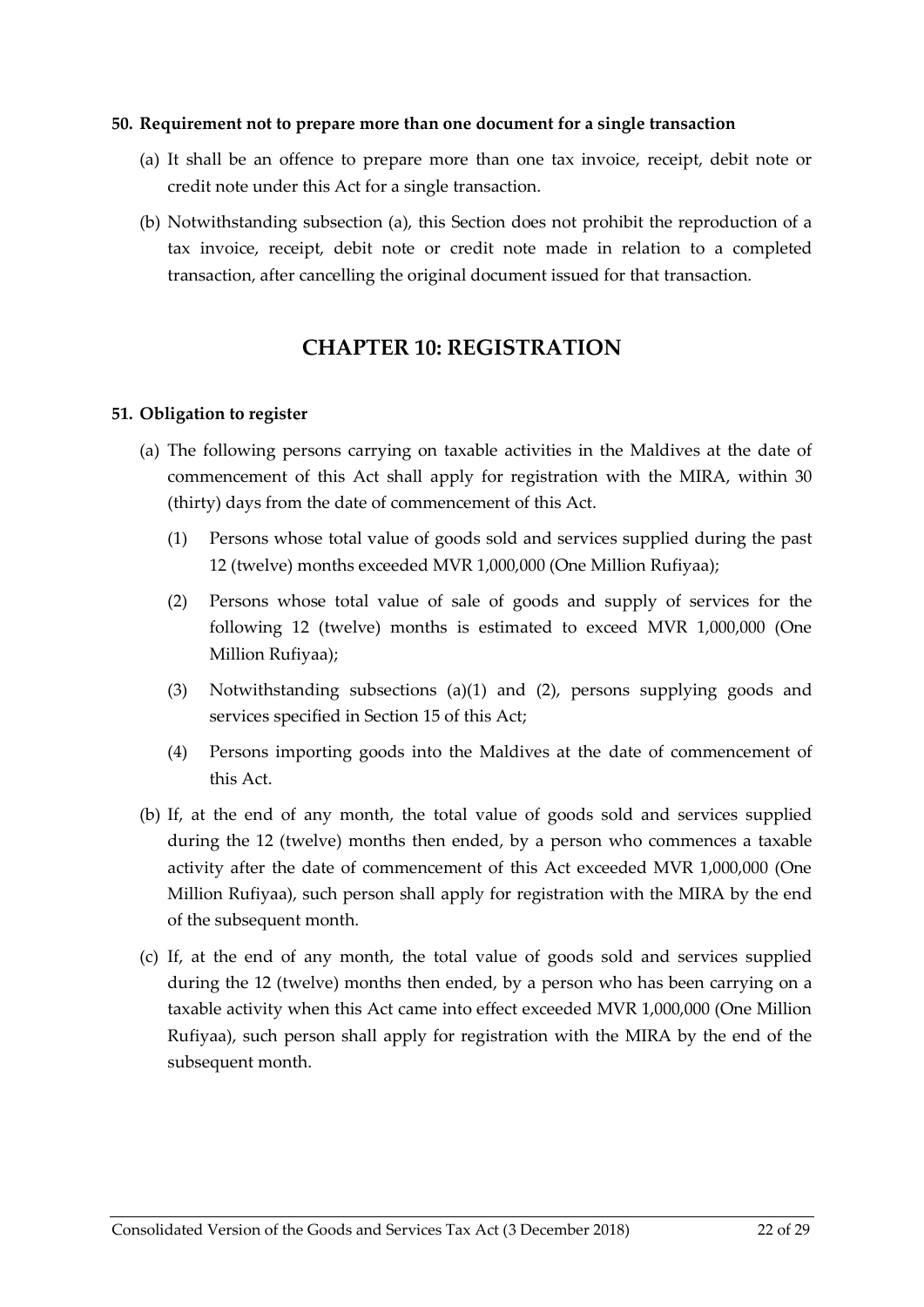#### <span id="page-21-0"></span>**50. Requirement not to prepare more than one document for a single transaction**

- <span id="page-21-3"></span>(a) It shall be an offence to prepare more than one tax invoice, receipt, debit note or credit note under this Act for a single transaction.
- (b) Notwithstanding subsection [\(a\),](#page-21-3) this Section does not prohibit the reproduction of a tax invoice, receipt, debit note or credit note made in relation to a completed transaction, after cancelling the original document issued for that transaction.

### **CHAPTER 10: REGISTRATION**

#### <span id="page-21-2"></span><span id="page-21-1"></span>**51. Obligation to register**

- <span id="page-21-5"></span><span id="page-21-4"></span>(a) The following persons carrying on taxable activities in the Maldives at the date of commencement of this Act shall apply for registration with the MIRA, within 30 (thirty) days from the date of commencement of this Act.
	- (1) Persons whose total value of goods sold and services supplied during the past 12 (twelve) months exceeded MVR 1,000,000 (One Million Rufiyaa);
	- (2) Persons whose total value of sale of goods and supply of services for the following 12 (twelve) months is estimated to exceed MVR 1,000,000 (One Million Rufiyaa);
	- (3) Notwithstanding subsections [\(a\)\(1\)](#page-21-4) and [\(2\),](#page-21-5) persons supplying goods and services specified in Section [15](#page-7-0) of this Act;
	- (4) Persons importing goods into the Maldives at the date of commencement of this Act.
- <span id="page-21-6"></span>(b) If, at the end of any month, the total value of goods sold and services supplied during the 12 (twelve) months then ended, by a person who commences a taxable activity after the date of commencement of this Act exceeded MVR 1,000,000 (One Million Rufiyaa), such person shall apply for registration with the MIRA by the end of the subsequent month.
- <span id="page-21-7"></span>(c) If, at the end of any month, the total value of goods sold and services supplied during the 12 (twelve) months then ended, by a person who has been carrying on a taxable activity when this Act came into effect exceeded MVR 1,000,000 (One Million Rufiyaa), such person shall apply for registration with the MIRA by the end of the subsequent month.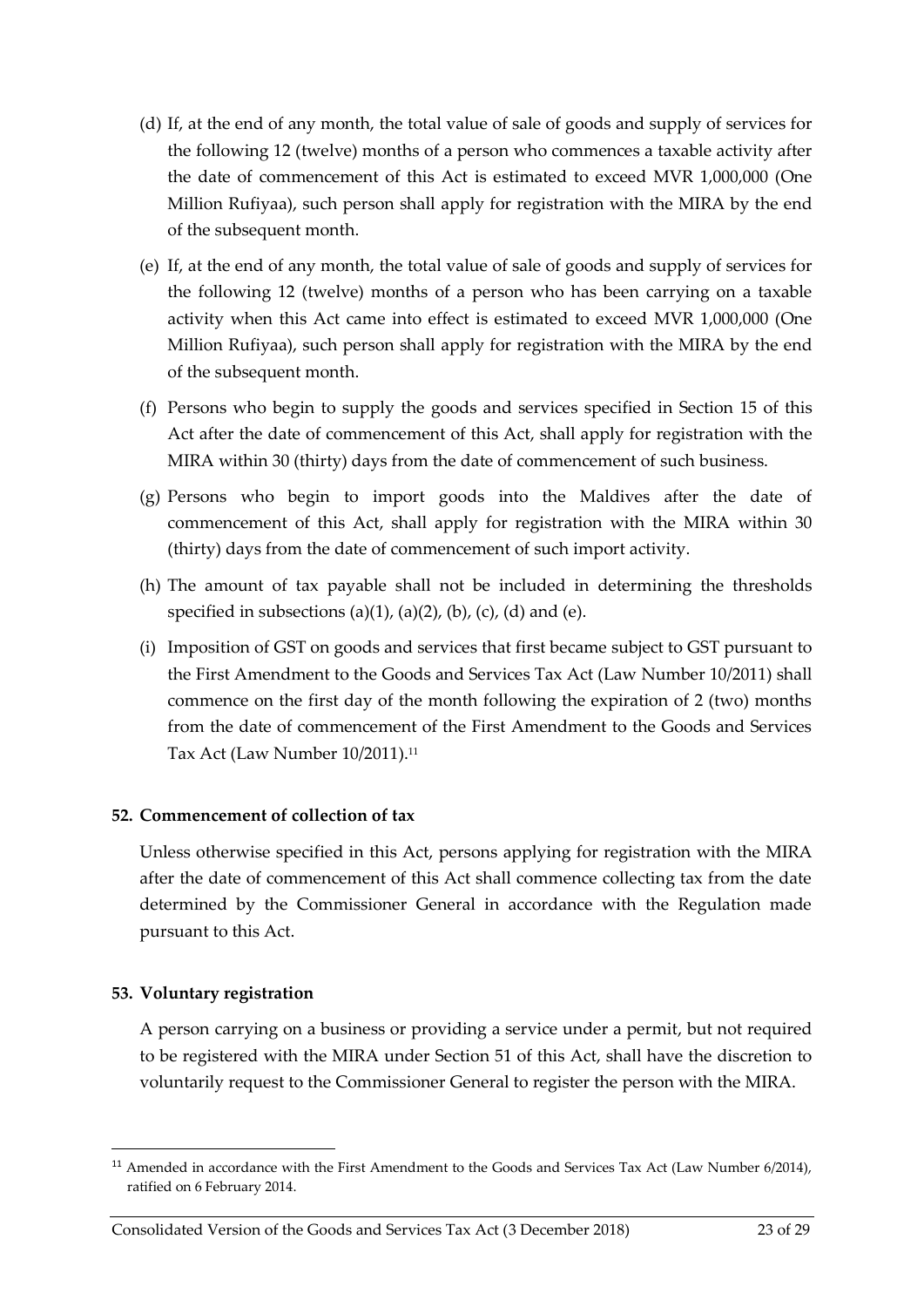- <span id="page-22-2"></span>(d) If, at the end of any month, the total value of sale of goods and supply of services for the following 12 (twelve) months of a person who commences a taxable activity after the date of commencement of this Act is estimated to exceed MVR 1,000,000 (One Million Rufiyaa), such person shall apply for registration with the MIRA by the end of the subsequent month.
- <span id="page-22-3"></span>(e) If, at the end of any month, the total value of sale of goods and supply of services for the following 12 (twelve) months of a person who has been carrying on a taxable activity when this Act came into effect is estimated to exceed MVR 1,000,000 (One Million Rufiyaa), such person shall apply for registration with the MIRA by the end of the subsequent month.
- (f) Persons who begin to supply the goods and services specified in Section [15](#page-7-0) of this Act after the date of commencement of this Act, shall apply for registration with the MIRA within 30 (thirty) days from the date of commencement of such business.
- <span id="page-22-4"></span>(g) Persons who begin to import goods into the Maldives after the date of commencement of this Act, shall apply for registration with the MIRA within 30 (thirty) days from the date of commencement of such import activity.
- (h) The amount of tax payable shall not be included in determining the thresholds specified in subsections [\(a\)\(1\), \(a\)\(2\),](#page-21-4) [\(b\),](#page-21-6) [\(c\),](#page-21-7) [\(d\)](#page-22-2) and [\(e\).](#page-22-3)
- (i) Imposition of GST on goods and services that first became subject to GST pursuant to the First Amendment to the Goods and Services Tax Act (Law Number 10/2011) shall commence on the first day of the month following the expiration of 2 (two) months from the date of commencement of the First Amendment to the Goods and Services Tax Act (Law Number 10/2011).<sup>11</sup>

#### <span id="page-22-0"></span>**52. Commencement of collection of tax**

Unless otherwise specified in this Act, persons applying for registration with the MIRA after the date of commencement of this Act shall commence collecting tax from the date determined by the Commissioner General in accordance with the Regulation made pursuant to this Act.

#### <span id="page-22-1"></span>**53. Voluntary registration**

A person carrying on a business or providing a service under a permit, but not required to be registered with the MIRA under Section [51](#page-21-2) of this Act, shall have the discretion to voluntarily request to the Commissioner General to register the person with the MIRA.

 $\overline{a}$ <sup>11</sup> Amended in accordance with the First Amendment to the Goods and Services Tax Act (Law Number 6/2014), ratified on 6 February 2014.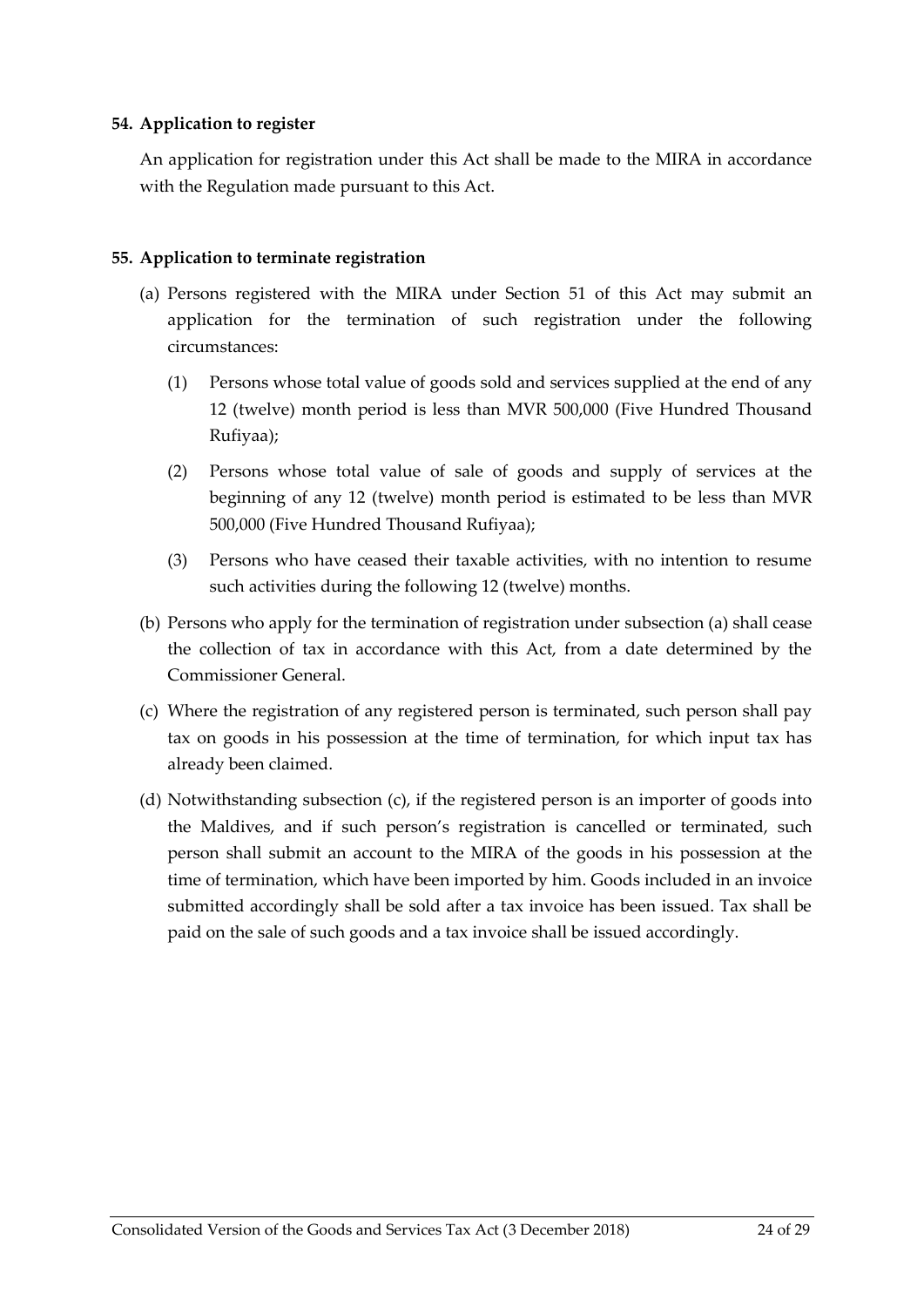#### <span id="page-23-0"></span>**54. Application to register**

An application for registration under this Act shall be made to the MIRA in accordance with the Regulation made pursuant to this Act.

#### <span id="page-23-1"></span>**55. Application to terminate registration**

- <span id="page-23-2"></span>(a) Persons registered with the MIRA under Section [51](#page-21-2) of this Act may submit an application for the termination of such registration under the following circumstances:
	- (1) Persons whose total value of goods sold and services supplied at the end of any 12 (twelve) month period is less than MVR 500,000 (Five Hundred Thousand Rufiyaa);
	- (2) Persons whose total value of sale of goods and supply of services at the beginning of any 12 (twelve) month period is estimated to be less than MVR 500,000 (Five Hundred Thousand Rufiyaa);
	- (3) Persons who have ceased their taxable activities, with no intention to resume such activities during the following 12 (twelve) months.
- (b) Persons who apply for the termination of registration under subsection [\(a\)](#page-23-2) shall cease the collection of tax in accordance with this Act, from a date determined by the Commissioner General.
- <span id="page-23-3"></span>(c) Where the registration of any registered person is terminated, such person shall pay tax on goods in his possession at the time of termination, for which input tax has already been claimed.
- (d) Notwithstanding subsection [\(c\),](#page-23-3) if the registered person is an importer of goods into the Maldives, and if such person's registration is cancelled or terminated, such person shall submit an account to the MIRA of the goods in his possession at the time of termination, which have been imported by him. Goods included in an invoice submitted accordingly shall be sold after a tax invoice has been issued. Tax shall be paid on the sale of such goods and a tax invoice shall be issued accordingly.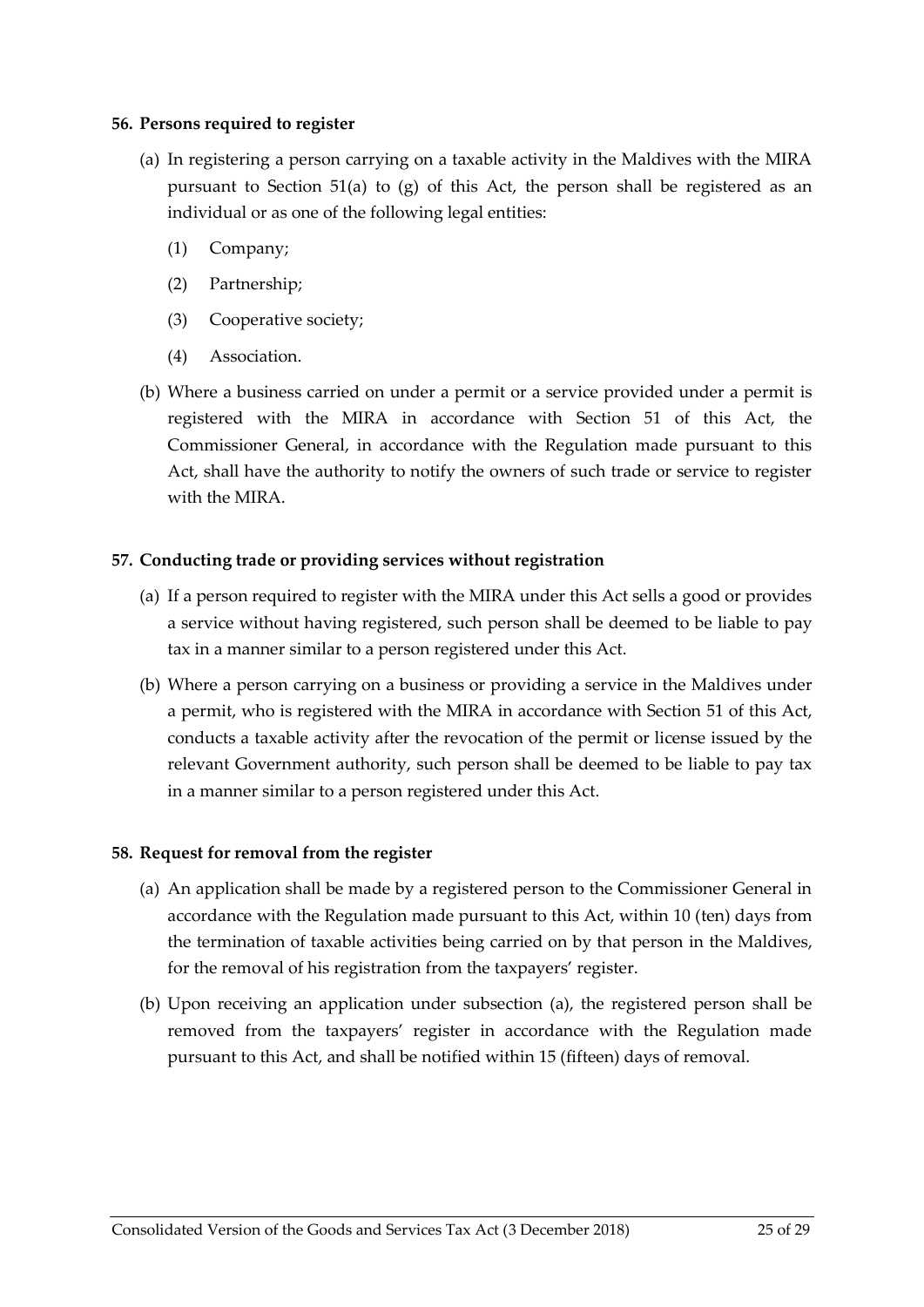#### <span id="page-24-0"></span>**56. Persons required to register**

- (a) In registering a person carrying on a taxable activity in the Maldives with the MIRA pursuant to Section [51\(a\)](#page-21-2) to [\(g\)](#page-22-4) of this Act, the person shall be registered as an individual or as one of the following legal entities:
	- (1) Company;
	- (2) Partnership;
	- (3) Cooperative society;
	- (4) Association.
- (b) Where a business carried on under a permit or a service provided under a permit is registered with the MIRA in accordance with Section [51](#page-21-2) of this Act, the Commissioner General, in accordance with the Regulation made pursuant to this Act, shall have the authority to notify the owners of such trade or service to register with the MIRA.

#### <span id="page-24-1"></span>**57. Conducting trade or providing services without registration**

- (a) If a person required to register with the MIRA under this Act sells a good or provides a service without having registered, such person shall be deemed to be liable to pay tax in a manner similar to a person registered under this Act.
- (b) Where a person carrying on a business or providing a service in the Maldives under a permit, who is registered with the MIRA in accordance with Section [51](#page-21-2) of this Act, conducts a taxable activity after the revocation of the permit or license issued by the relevant Government authority, such person shall be deemed to be liable to pay tax in a manner similar to a person registered under this Act.

#### <span id="page-24-2"></span>**58. Request for removal from the register**

- <span id="page-24-3"></span>(a) An application shall be made by a registered person to the Commissioner General in accordance with the Regulation made pursuant to this Act, within 10 (ten) days from the termination of taxable activities being carried on by that person in the Maldives, for the removal of his registration from the taxpayers' register.
- (b) Upon receiving an application under subsection [\(a\),](#page-24-3) the registered person shall be removed from the taxpayers' register in accordance with the Regulation made pursuant to this Act, and shall be notified within 15 (fifteen) days of removal.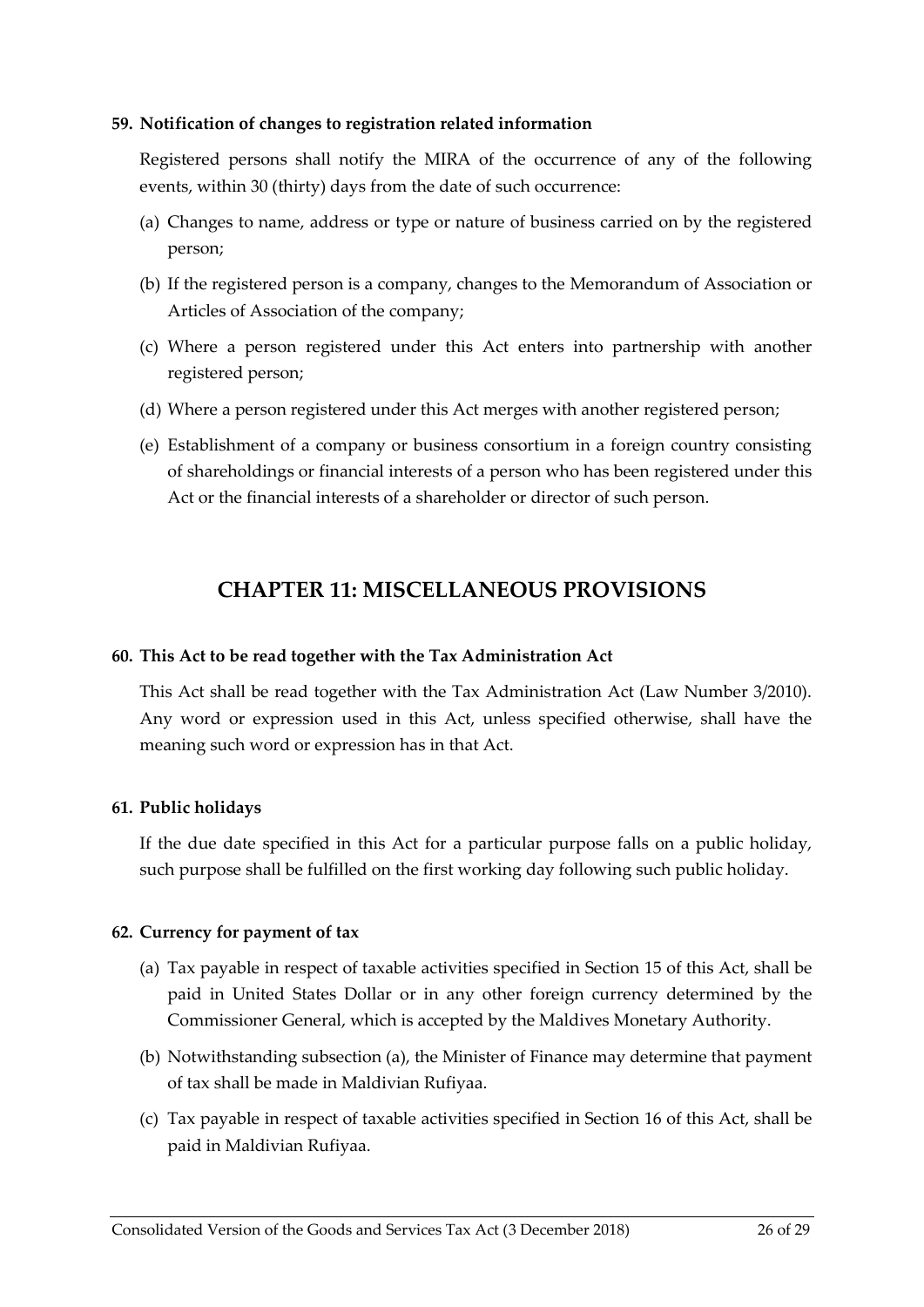#### <span id="page-25-0"></span>**59. Notification of changes to registration related information**

Registered persons shall notify the MIRA of the occurrence of any of the following events, within 30 (thirty) days from the date of such occurrence:

- (a) Changes to name, address or type or nature of business carried on by the registered person;
- (b) If the registered person is a company, changes to the Memorandum of Association or Articles of Association of the company;
- (c) Where a person registered under this Act enters into partnership with another registered person;
- (d) Where a person registered under this Act merges with another registered person;
- (e) Establishment of a company or business consortium in a foreign country consisting of shareholdings or financial interests of a person who has been registered under this Act or the financial interests of a shareholder or director of such person.

### **CHAPTER 11: MISCELLANEOUS PROVISIONS**

#### <span id="page-25-2"></span><span id="page-25-1"></span>**60. This Act to be read together with the Tax Administration Act**

This Act shall be read together with the Tax Administration Act (Law Number 3/2010). Any word or expression used in this Act, unless specified otherwise, shall have the meaning such word or expression has in that Act.

#### <span id="page-25-3"></span>**61. Public holidays**

If the due date specified in this Act for a particular purpose falls on a public holiday, such purpose shall be fulfilled on the first working day following such public holiday.

#### <span id="page-25-4"></span>**62. Currency for payment of tax**

- <span id="page-25-5"></span>(a) Tax payable in respect of taxable activities specified in Section [15](#page-7-0) of this Act, shall be paid in United States Dollar or in any other foreign currency determined by the Commissioner General, which is accepted by the Maldives Monetary Authority.
- (b) Notwithstanding subsection [\(a\),](#page-25-5) the Minister of Finance may determine that payment of tax shall be made in Maldivian Rufiyaa.
- (c) Tax payable in respect of taxable activities specified in Section [16](#page-8-0) of this Act, shall be paid in Maldivian Rufiyaa.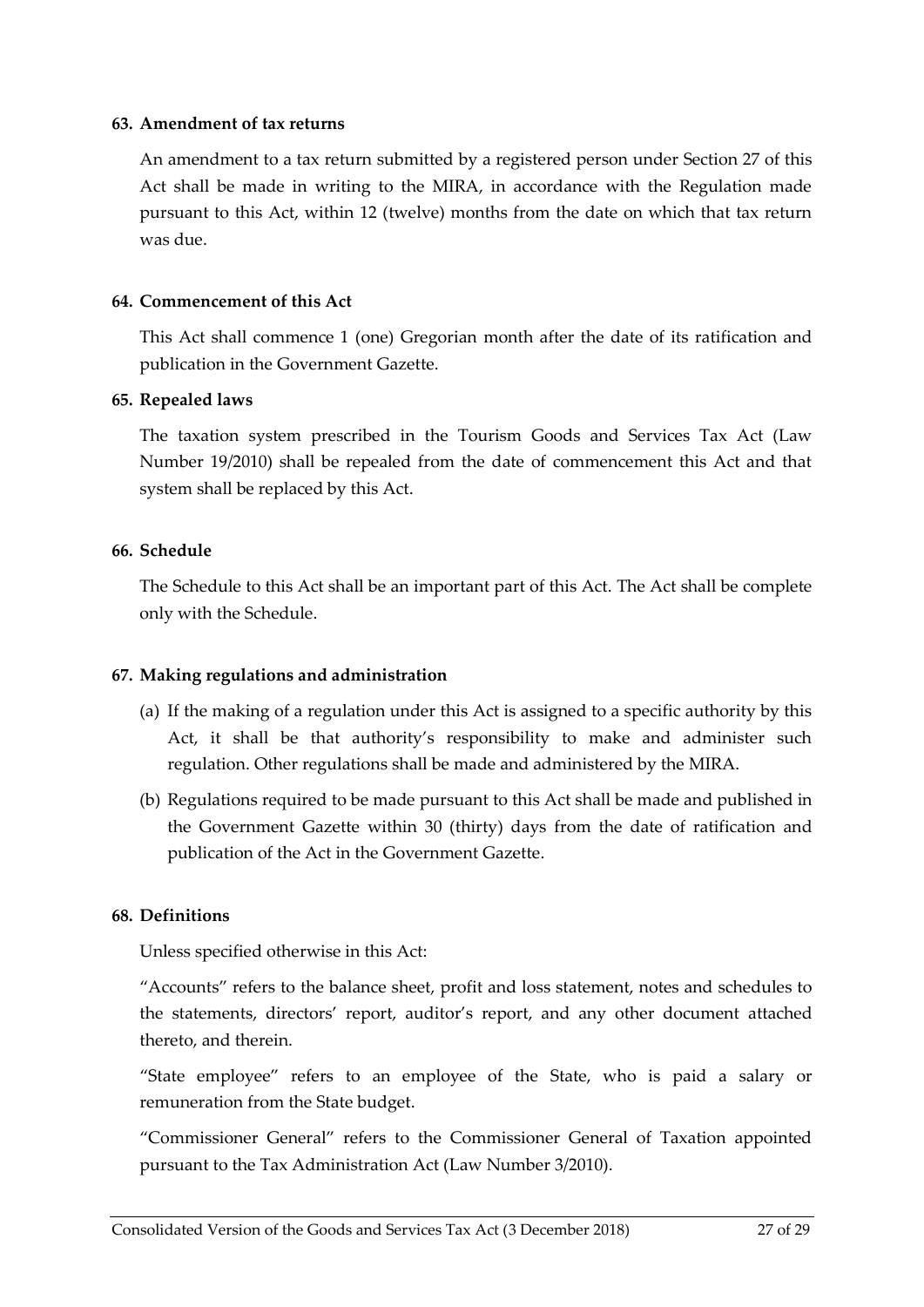#### <span id="page-26-0"></span>**63. Amendment of tax returns**

An amendment to a tax return submitted by a registered person under Section [27](#page-13-2) of this Act shall be made in writing to the MIRA, in accordance with the Regulation made pursuant to this Act, within 12 (twelve) months from the date on which that tax return was due.

#### <span id="page-26-1"></span>**64. Commencement of this Act**

This Act shall commence 1 (one) Gregorian month after the date of its ratification and publication in the Government Gazette.

#### <span id="page-26-2"></span>**65. Repealed laws**

The taxation system prescribed in the Tourism Goods and Services Tax Act (Law Number 19/2010) shall be repealed from the date of commencement this Act and that system shall be replaced by this Act.

#### <span id="page-26-3"></span>**66. Schedule**

The Schedule to this Act shall be an important part of this Act. The Act shall be complete only with the Schedule.

#### <span id="page-26-4"></span>**67. Making regulations and administration**

- (a) If the making of a regulation under this Act is assigned to a specific authority by this Act, it shall be that authority's responsibility to make and administer such regulation. Other regulations shall be made and administered by the MIRA.
- (b) Regulations required to be made pursuant to this Act shall be made and published in the Government Gazette within 30 (thirty) days from the date of ratification and publication of the Act in the Government Gazette.

#### <span id="page-26-5"></span>**68. Definitions**

Unless specified otherwise in this Act:

"Accounts" refers to the balance sheet, profit and loss statement, notes and schedules to the statements, directors' report, auditor's report, and any other document attached thereto, and therein.

"State employee" refers to an employee of the State, who is paid a salary or remuneration from the State budget.

"Commissioner General" refers to the Commissioner General of Taxation appointed pursuant to the Tax Administration Act (Law Number 3/2010).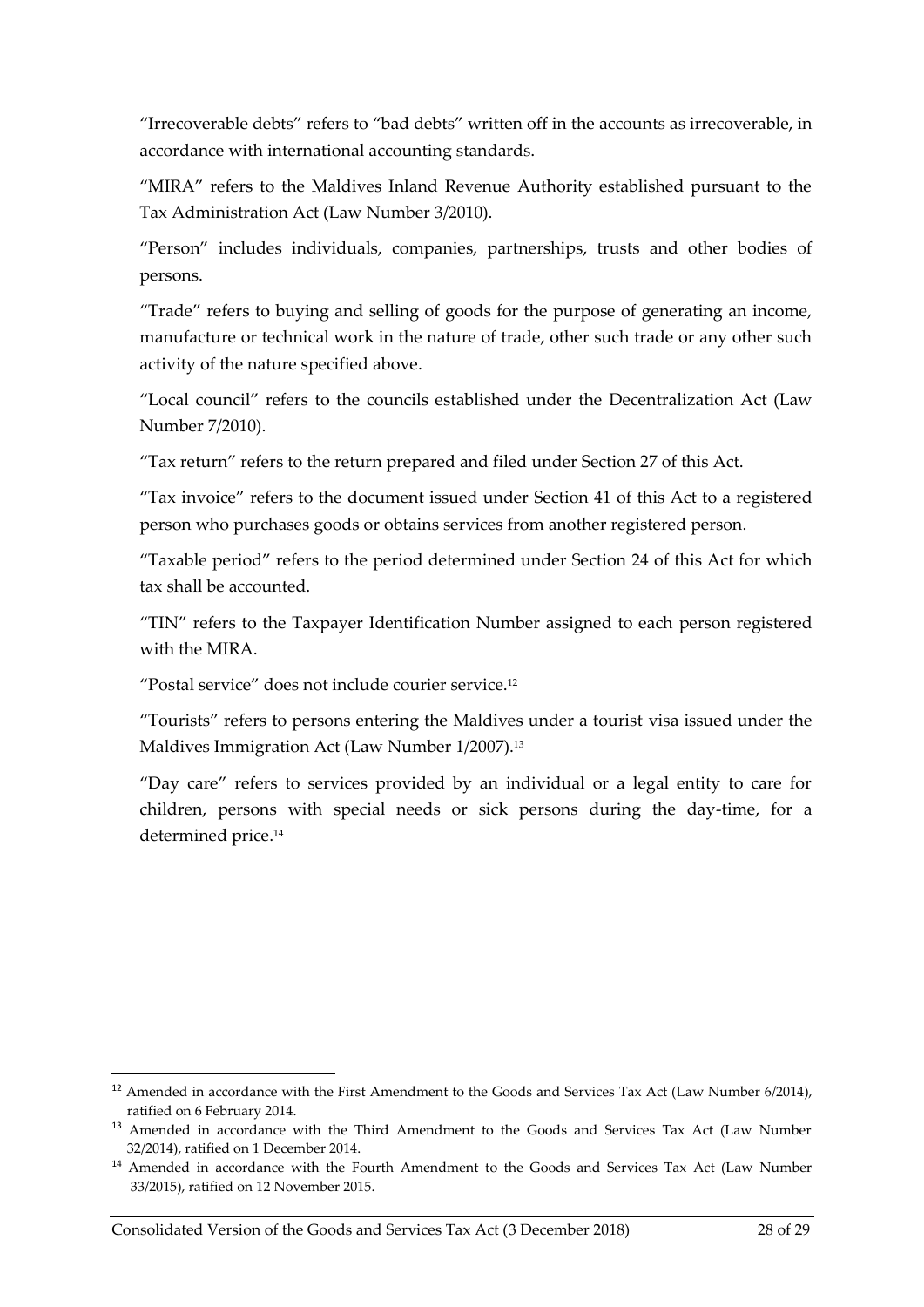"Irrecoverable debts" refers to "bad debts" written off in the accounts as irrecoverable, in accordance with international accounting standards.

"MIRA" refers to the Maldives Inland Revenue Authority established pursuant to the Tax Administration Act (Law Number 3/2010).

"Person" includes individuals, companies, partnerships, trusts and other bodies of persons.

"Trade" refers to buying and selling of goods for the purpose of generating an income, manufacture or technical work in the nature of trade, other such trade or any other such activity of the nature specified above.

"Local council" refers to the councils established under the Decentralization Act (Law Number 7/2010).

"Tax return" refers to the return prepared and filed under Section [27](#page-13-2) of this Act.

"Tax invoice" refers to the document issued under Section [41](#page-18-1) of this Act to a registered person who purchases goods or obtains services from another registered person.

"Taxable period" refers to the period determined under Section [24](#page-12-2) of this Act for which tax shall be accounted.

"TIN" refers to the Taxpayer Identification Number assigned to each person registered with the MIRA.

"Postal service" does not include courier service.<sup>12</sup>

"Tourists" refers to persons entering the Maldives under a tourist visa issued under the Maldives Immigration Act (Law Number 1/2007).<sup>13</sup>

"Day care" refers to services provided by an individual or a legal entity to care for children, persons with special needs or sick persons during the day-time, for a determined price. 14

 $\overline{a}$ 

<sup>&</sup>lt;sup>12</sup> Amended in accordance with the First Amendment to the Goods and Services Tax Act (Law Number 6/2014), ratified on 6 February 2014.

<sup>&</sup>lt;sup>13</sup> Amended in accordance with the Third Amendment to the Goods and Services Tax Act (Law Number 32/2014), ratified on 1 December 2014.

<sup>&</sup>lt;sup>14</sup> Amended in accordance with the Fourth Amendment to the Goods and Services Tax Act (Law Number 33/2015), ratified on 12 November 2015.